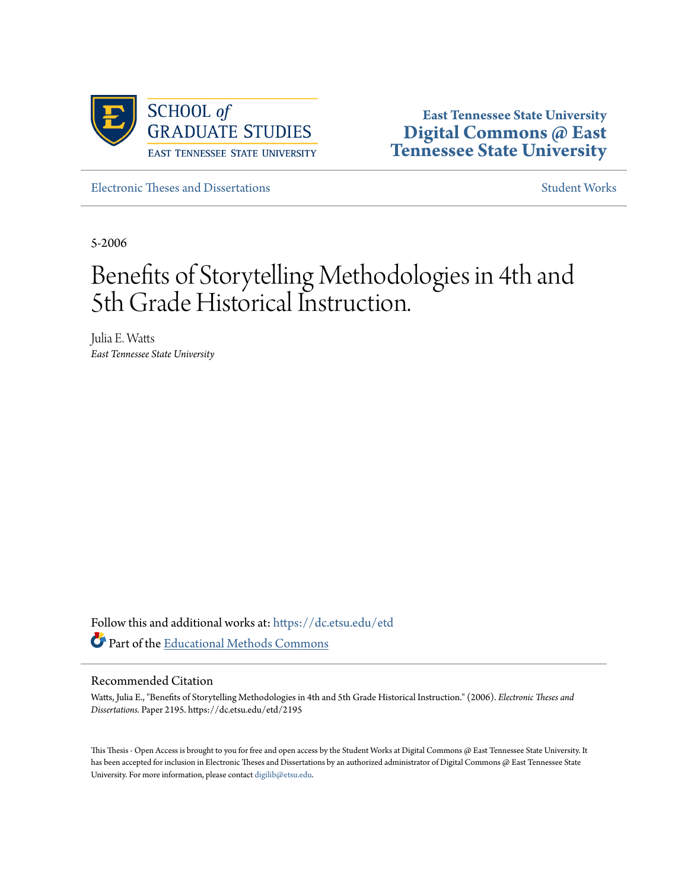

**East Tennessee State University [Digital Commons @ East](https://dc.etsu.edu?utm_source=dc.etsu.edu%2Fetd%2F2195&utm_medium=PDF&utm_campaign=PDFCoverPages) [Tennessee State University](https://dc.etsu.edu?utm_source=dc.etsu.edu%2Fetd%2F2195&utm_medium=PDF&utm_campaign=PDFCoverPages)**

[Electronic Theses and Dissertations](https://dc.etsu.edu/etd?utm_source=dc.etsu.edu%2Fetd%2F2195&utm_medium=PDF&utm_campaign=PDFCoverPages) [Student Works](https://dc.etsu.edu/student-works?utm_source=dc.etsu.edu%2Fetd%2F2195&utm_medium=PDF&utm_campaign=PDFCoverPages)

5-2006

# Benefits of Storytelling Methodologies in 4th and 5th Grade Historical Instruction.

Julia E. Watts *East Tennessee State University*

Follow this and additional works at: [https://dc.etsu.edu/etd](https://dc.etsu.edu/etd?utm_source=dc.etsu.edu%2Fetd%2F2195&utm_medium=PDF&utm_campaign=PDFCoverPages) Part of the [Educational Methods Commons](http://network.bepress.com/hgg/discipline/1227?utm_source=dc.etsu.edu%2Fetd%2F2195&utm_medium=PDF&utm_campaign=PDFCoverPages)

#### Recommended Citation

Watts, Julia E., "Benefits of Storytelling Methodologies in 4th and 5th Grade Historical Instruction." (2006). *Electronic Theses and Dissertations.* Paper 2195. https://dc.etsu.edu/etd/2195

This Thesis - Open Access is brought to you for free and open access by the Student Works at Digital Commons @ East Tennessee State University. It has been accepted for inclusion in Electronic Theses and Dissertations by an authorized administrator of Digital Commons @ East Tennessee State University. For more information, please contact [digilib@etsu.edu.](mailto:digilib@etsu.edu)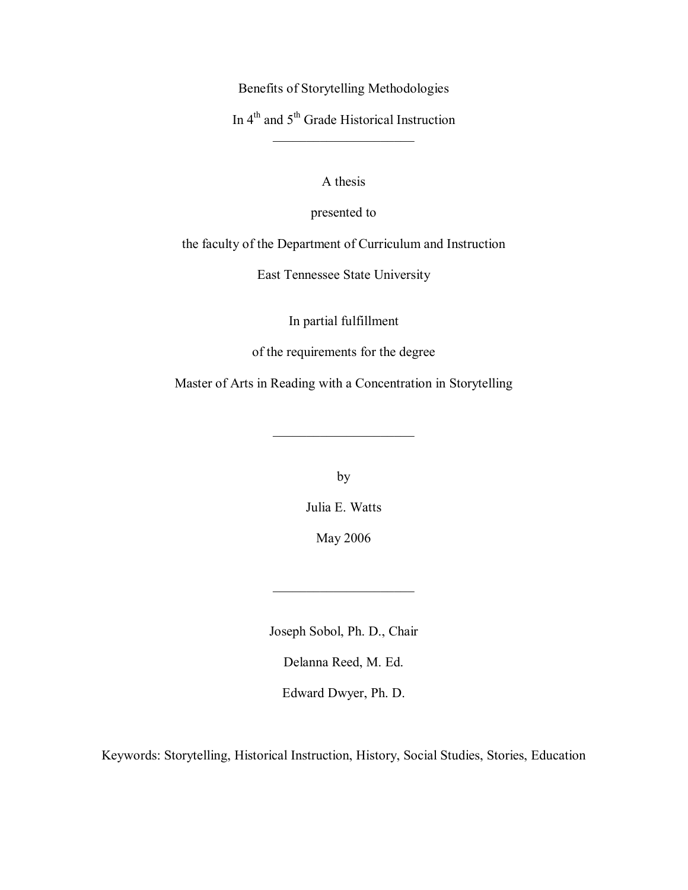Benefits of Storytelling Methodologies

In 4<sup>th</sup> and 5<sup>th</sup> Grade Historical Instruction  $\overline{\phantom{a}}$  , where  $\overline{\phantom{a}}$ 

A thesis

presented to

the faculty of the Department of Curriculum and Instruction

East Tennessee State University

In partial fulfillment

of the requirements for the degree

Master of Arts in Reading with a Concentration in Storytelling

 $\overline{\phantom{a}}$  , where  $\overline{\phantom{a}}$ 

by

Julia E. Watts

May 2006

 $\overline{\phantom{a}}$  , where  $\overline{\phantom{a}}$ 

Joseph Sobol, Ph. D., Chair

Delanna Reed, M. Ed.

Edward Dwyer, Ph. D.

Keywords: Storytelling, Historical Instruction, History, Social Studies, Stories, Education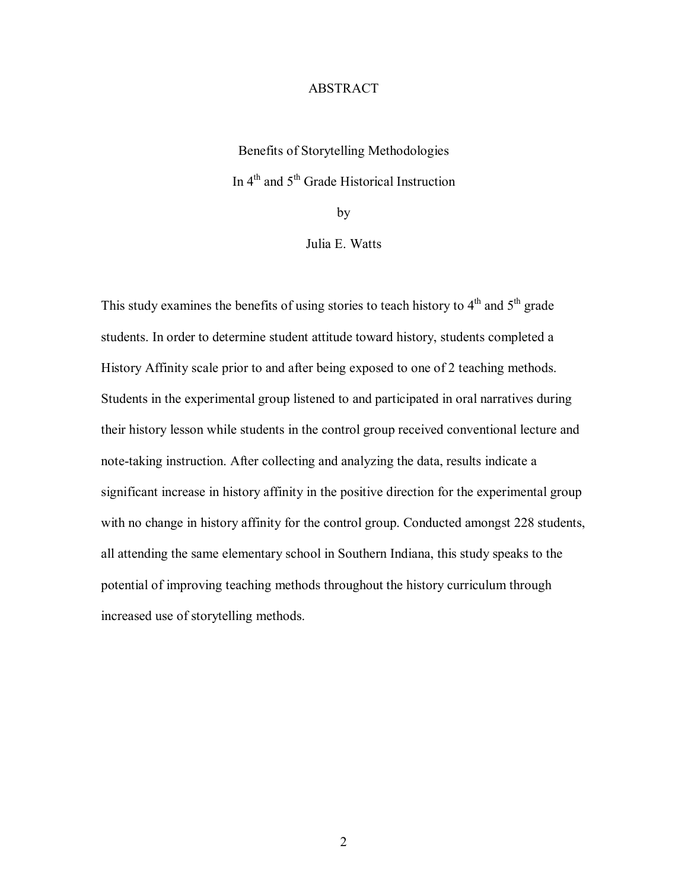# ABSTRACT

Benefits of Storytelling Methodologies In 4<sup>th</sup> and 5<sup>th</sup> Grade Historical Instruction

by

Julia E. Watts

This study examines the benefits of using stories to teach history to  $4<sup>th</sup>$  and  $5<sup>th</sup>$  grade students. In order to determine student attitude toward history, students completed a History Affinity scale prior to and after being exposed to one of 2 teaching methods. Students in the experimental group listened to and participated in oral narratives during their history lesson while students in the control group received conventional lecture and note-taking instruction. After collecting and analyzing the data, results indicate a significant increase in history affinity in the positive direction for the experimental group with no change in history affinity for the control group. Conducted amongst 228 students, all attending the same elementary school in Southern Indiana, this study speaks to the potential of improving teaching methods throughout the history curriculum through increased use of storytelling methods.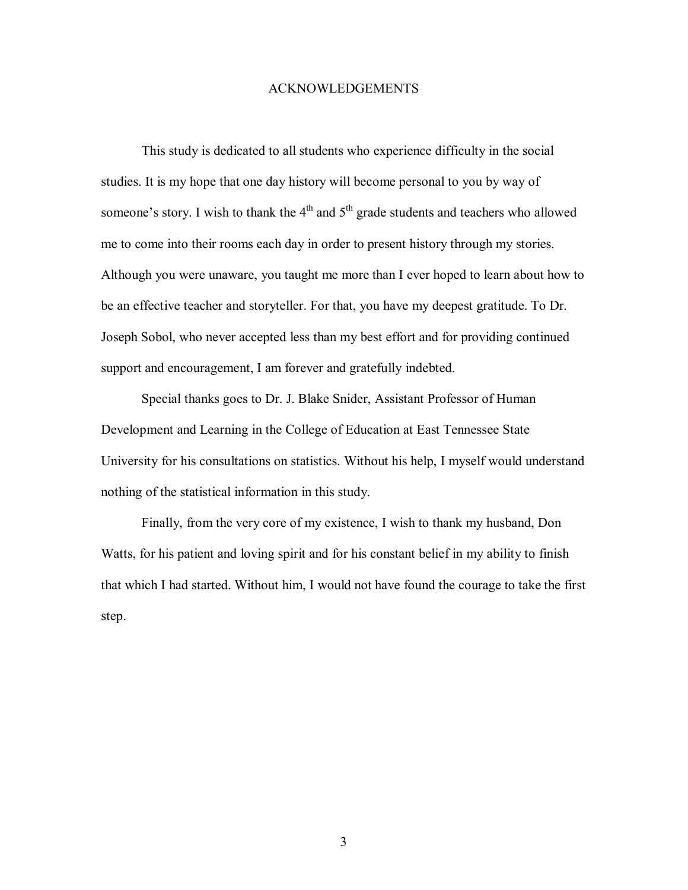#### ACKNOWLEDGEMENTS

 This study is dedicated to all students who experience difficulty in the social studies. It is my hope that one day history will become personal to you by way of someone's story. I wish to thank the  $4<sup>th</sup>$  and  $5<sup>th</sup>$  grade students and teachers who allowed me to come into their rooms each day in order to present history through my stories. Although you were unaware, you taught me more than I ever hoped to learn about how to be an effective teacher and storyteller. For that, you have my deepest gratitude. To Dr. Joseph Sobol, who never accepted less than my best effort and for providing continued support and encouragement, I am forever and gratefully indebted.

 Special thanks goes to Dr. J. Blake Snider, Assistant Professor of Human Development and Learning in the College of Education at East Tennessee State University for his consultations on statistics. Without his help, I myself would understand nothing of the statistical information in this study.

 Finally, from the very core of my existence, I wish to thank my husband, Don Watts, for his patient and loving spirit and for his constant belief in my ability to finish that which I had started. Without him, I would not have found the courage to take the first step.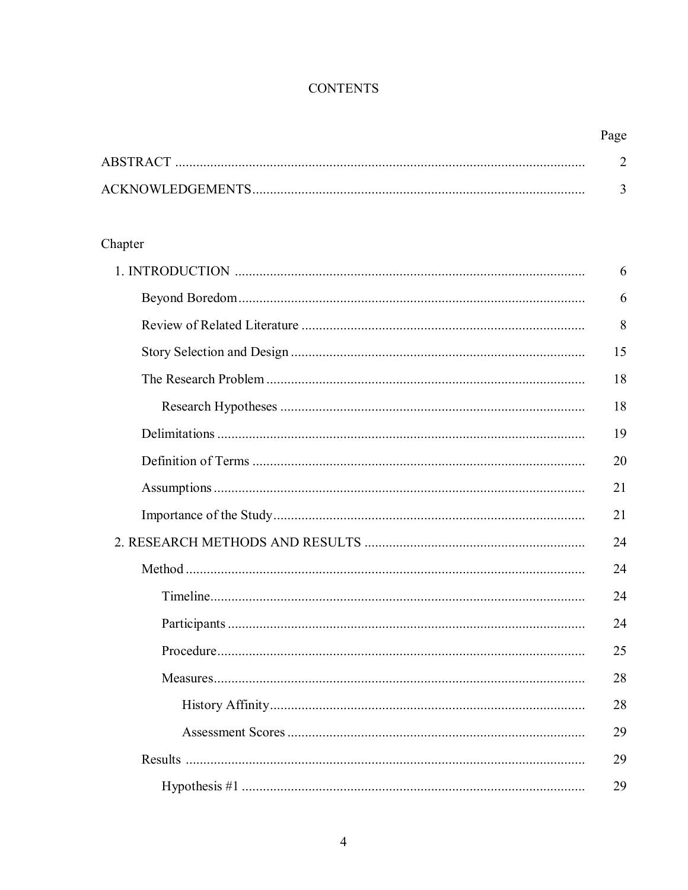# **CONTENTS**

| Page |
|------|
|      |
|      |

# Chapter

| 6  |
|----|
| 6  |
| 8  |
| 15 |
| 18 |
| 18 |
| 19 |
| 20 |
| 21 |
| 21 |
| 24 |
| 24 |
| 24 |
| 24 |
| 25 |
| 28 |
| 28 |
| 29 |
| 29 |
| 29 |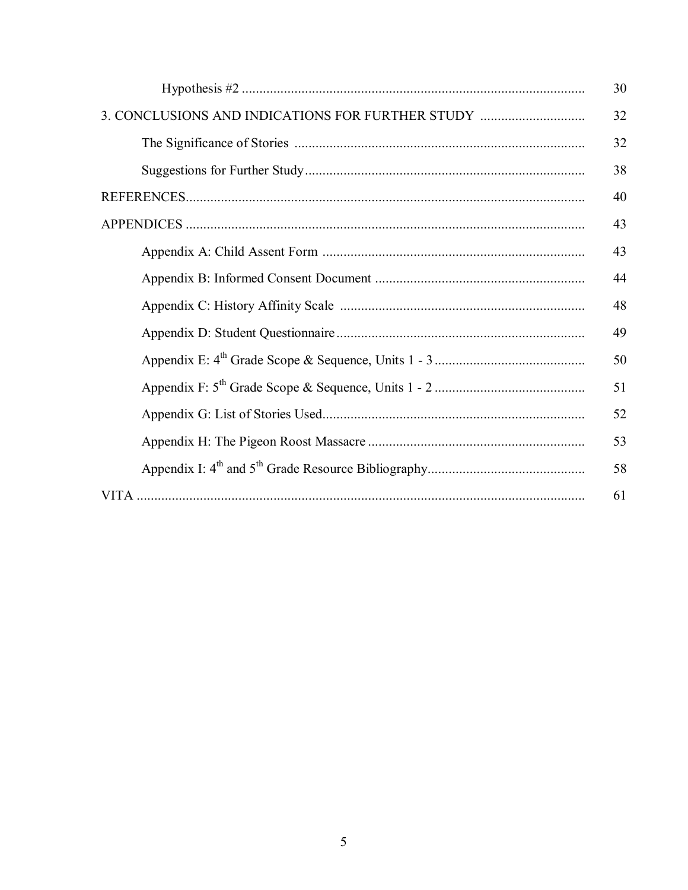|                                                  | 30 |
|--------------------------------------------------|----|
| 3. CONCLUSIONS AND INDICATIONS FOR FURTHER STUDY | 32 |
|                                                  | 32 |
|                                                  | 38 |
|                                                  | 40 |
|                                                  | 43 |
|                                                  | 43 |
|                                                  | 44 |
|                                                  | 48 |
|                                                  | 49 |
|                                                  | 50 |
|                                                  | 51 |
|                                                  | 52 |
|                                                  | 53 |
|                                                  | 58 |
|                                                  | 61 |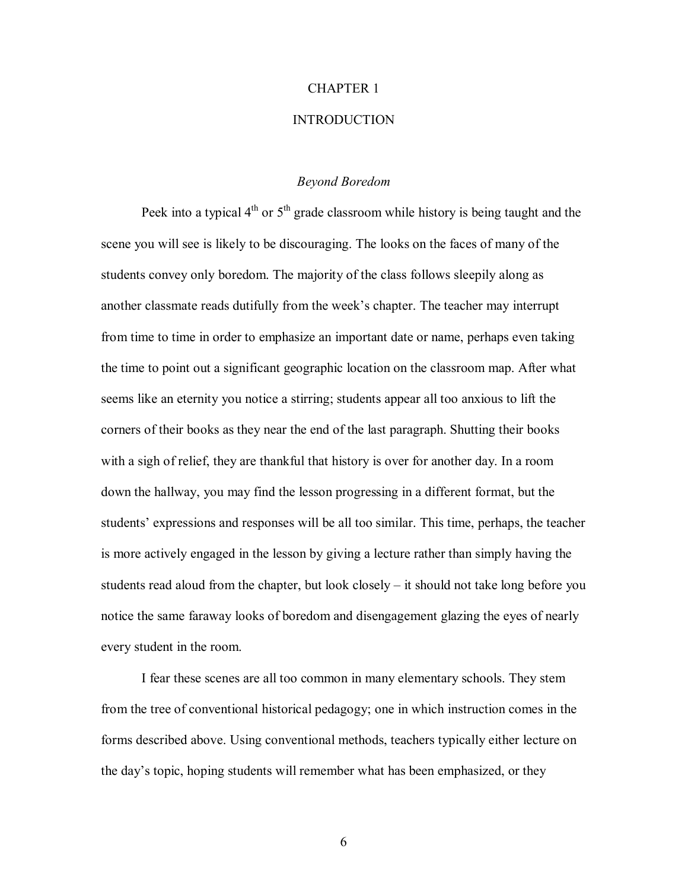## CHAPTER 1

#### INTRODUCTION

# *Beyond Boredom*

Peek into a typical  $4<sup>th</sup>$  or  $5<sup>th</sup>$  grade classroom while history is being taught and the scene you will see is likely to be discouraging. The looks on the faces of many of the students convey only boredom. The majority of the class follows sleepily along as another classmate reads dutifully from the week's chapter. The teacher may interrupt from time to time in order to emphasize an important date or name, perhaps even taking the time to point out a significant geographic location on the classroom map. After what seems like an eternity you notice a stirring; students appear all too anxious to lift the corners of their books as they near the end of the last paragraph. Shutting their books with a sigh of relief, they are thankful that history is over for another day. In a room down the hallway, you may find the lesson progressing in a different format, but the students' expressions and responses will be all too similar. This time, perhaps, the teacher is more actively engaged in the lesson by giving a lecture rather than simply having the students read aloud from the chapter, but look closely  $-$  it should not take long before you notice the same faraway looks of boredom and disengagement glazing the eyes of nearly every student in the room.

 I fear these scenes are all too common in many elementary schools. They stem from the tree of conventional historical pedagogy; one in which instruction comes in the forms described above. Using conventional methods, teachers typically either lecture on the dayís topic, hoping students will remember what has been emphasized, or they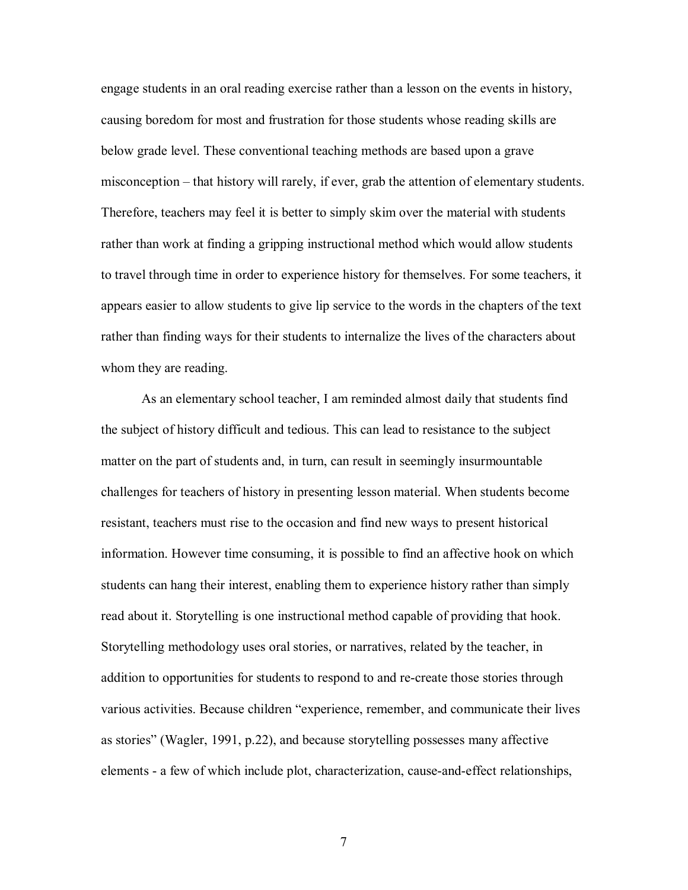engage students in an oral reading exercise rather than a lesson on the events in history, causing boredom for most and frustration for those students whose reading skills are below grade level. These conventional teaching methods are based upon a grave misconception  $-$  that history will rarely, if ever, grab the attention of elementary students. Therefore, teachers may feel it is better to simply skim over the material with students rather than work at finding a gripping instructional method which would allow students to travel through time in order to experience history for themselves. For some teachers, it appears easier to allow students to give lip service to the words in the chapters of the text rather than finding ways for their students to internalize the lives of the characters about whom they are reading.

As an elementary school teacher, I am reminded almost daily that students find the subject of history difficult and tedious. This can lead to resistance to the subject matter on the part of students and, in turn, can result in seemingly insurmountable challenges for teachers of history in presenting lesson material. When students become resistant, teachers must rise to the occasion and find new ways to present historical information. However time consuming, it is possible to find an affective hook on which students can hang their interest, enabling them to experience history rather than simply read about it. Storytelling is one instructional method capable of providing that hook. Storytelling methodology uses oral stories, or narratives, related by the teacher, in addition to opportunities for students to respond to and re-create those stories through various activities. Because children "experience, remember, and communicate their lives as storiesî (Wagler, 1991, p.22), and because storytelling possesses many affective elements - a few of which include plot, characterization, cause-and-effect relationships,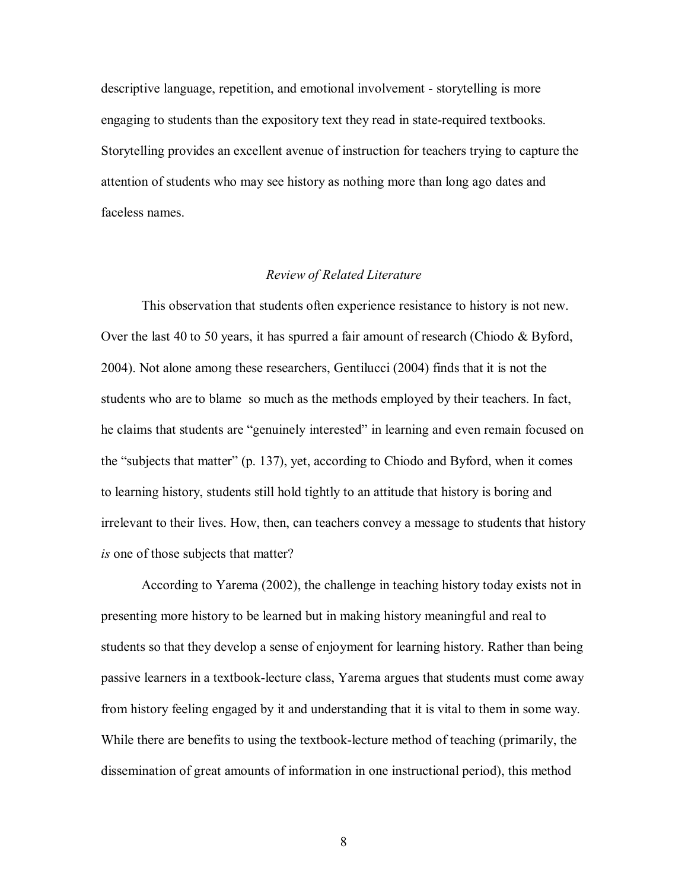descriptive language, repetition, and emotional involvement - storytelling is more engaging to students than the expository text they read in state-required textbooks. Storytelling provides an excellent avenue of instruction for teachers trying to capture the attention of students who may see history as nothing more than long ago dates and faceless names.

# *Review of Related Literature*

This observation that students often experience resistance to history is not new. Over the last 40 to 50 years, it has spurred a fair amount of research (Chiodo & Byford, 2004). Not alone among these researchers, Gentilucci (2004) finds that it is not the students who are to blame so much as the methods employed by their teachers. In fact, he claims that students are "genuinely interested" in learning and even remain focused on the "subjects that matter"  $(p. 137)$ , yet, according to Chiodo and Byford, when it comes to learning history, students still hold tightly to an attitude that history is boring and irrelevant to their lives. How, then, can teachers convey a message to students that history *is* one of those subjects that matter?

According to Yarema (2002), the challenge in teaching history today exists not in presenting more history to be learned but in making history meaningful and real to students so that they develop a sense of enjoyment for learning history. Rather than being passive learners in a textbook-lecture class, Yarema argues that students must come away from history feeling engaged by it and understanding that it is vital to them in some way. While there are benefits to using the textbook-lecture method of teaching (primarily, the dissemination of great amounts of information in one instructional period), this method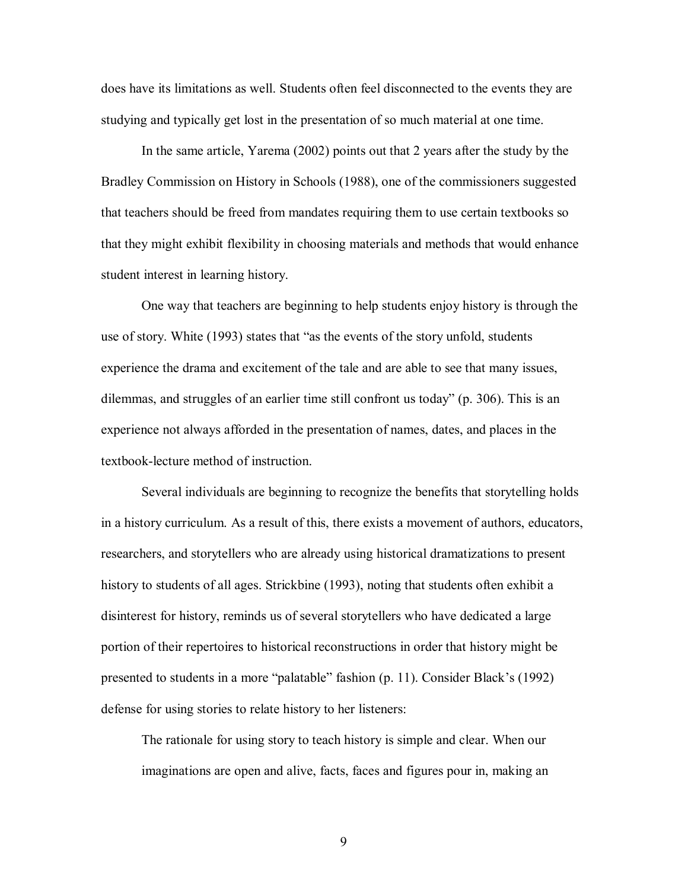does have its limitations as well. Students often feel disconnected to the events they are studying and typically get lost in the presentation of so much material at one time.

In the same article, Yarema (2002) points out that 2 years after the study by the Bradley Commission on History in Schools (1988), one of the commissioners suggested that teachers should be freed from mandates requiring them to use certain textbooks so that they might exhibit flexibility in choosing materials and methods that would enhance student interest in learning history.

One way that teachers are beginning to help students enjoy history is through the use of story. White (1993) states that "as the events of the story unfold, students experience the drama and excitement of the tale and are able to see that many issues, dilemmas, and struggles of an earlier time still confront us today" (p. 306). This is an experience not always afforded in the presentation of names, dates, and places in the textbook-lecture method of instruction.

Several individuals are beginning to recognize the benefits that storytelling holds in a history curriculum. As a result of this, there exists a movement of authors, educators, researchers, and storytellers who are already using historical dramatizations to present history to students of all ages. Strickbine (1993), noting that students often exhibit a disinterest for history, reminds us of several storytellers who have dedicated a large portion of their repertoires to historical reconstructions in order that history might be presented to students in a more "palatable" fashion  $(p. 11)$ . Consider Black's (1992) defense for using stories to relate history to her listeners:

The rationale for using story to teach history is simple and clear. When our imaginations are open and alive, facts, faces and figures pour in, making an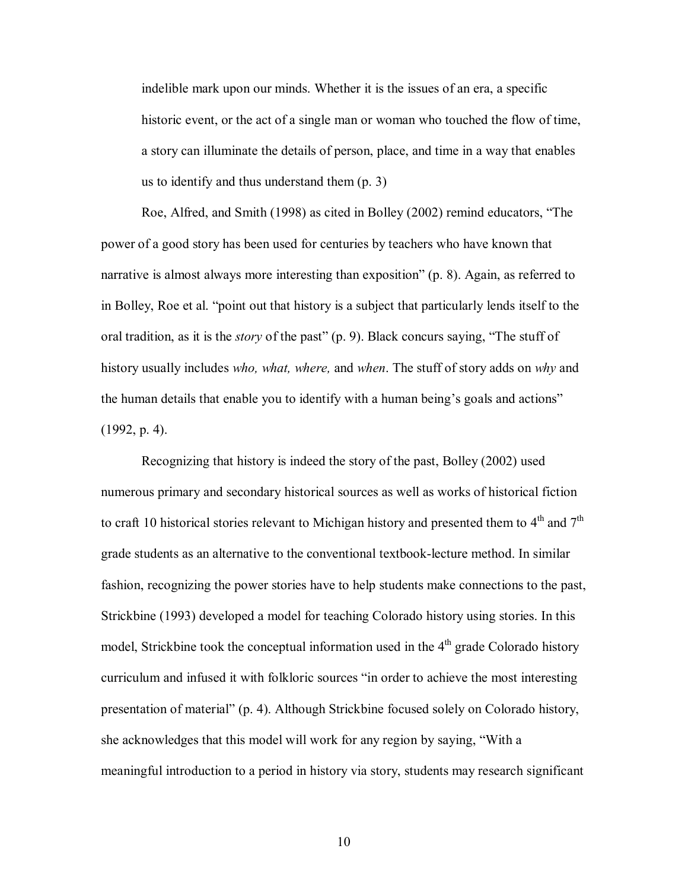indelible mark upon our minds. Whether it is the issues of an era, a specific historic event, or the act of a single man or woman who touched the flow of time, a story can illuminate the details of person, place, and time in a way that enables us to identify and thus understand them (p. 3)

Roe, Alfred, and Smith (1998) as cited in Bolley (2002) remind educators, "The power of a good story has been used for centuries by teachers who have known that narrative is almost always more interesting than exposition" (p. 8). Again, as referred to in Bolley, Roe et al. "point out that history is a subject that particularly lends itself to the oral tradition, as it is the *story* of the past" (p. 9). Black concurs saying, "The stuff of history usually includes *who, what, where,* and *when*. The stuff of story adds on *why* and the human details that enable you to identify with a human being's goals and actions" (1992, p. 4).

Recognizing that history is indeed the story of the past, Bolley (2002) used numerous primary and secondary historical sources as well as works of historical fiction to craft 10 historical stories relevant to Michigan history and presented them to  $4<sup>th</sup>$  and  $7<sup>th</sup>$ grade students as an alternative to the conventional textbook-lecture method. In similar fashion, recognizing the power stories have to help students make connections to the past, Strickbine (1993) developed a model for teaching Colorado history using stories. In this model, Strickbine took the conceptual information used in the  $4<sup>th</sup>$  grade Colorado history curriculum and infused it with folkloric sources "in order to achieve the most interesting presentation of material" (p. 4). Although Strickbine focused solely on Colorado history, she acknowledges that this model will work for any region by saying, "With a meaningful introduction to a period in history via story, students may research significant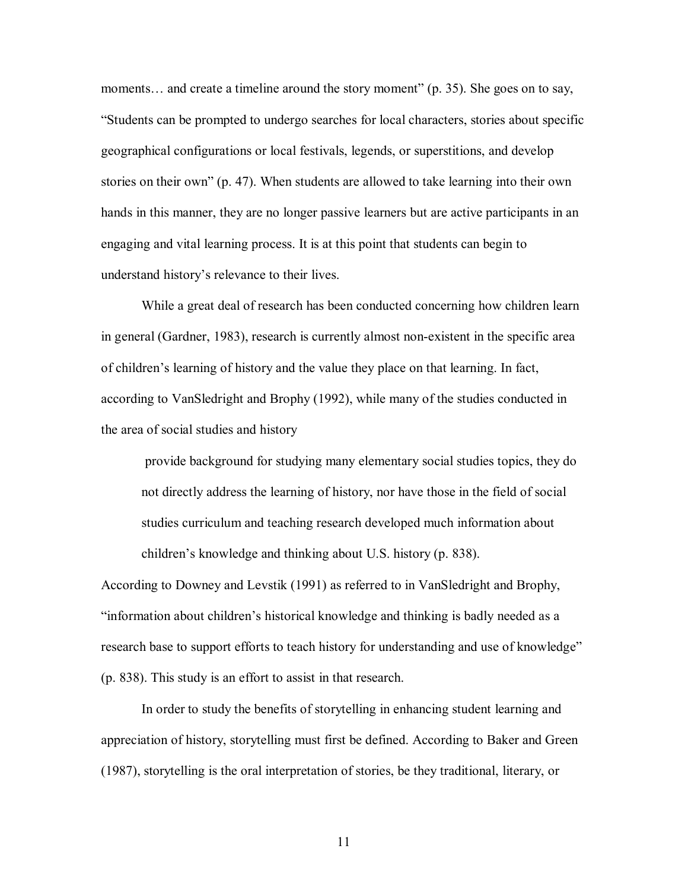moments... and create a timeline around the story moment" (p. 35). She goes on to say, ìStudents can be prompted to undergo searches for local characters, stories about specific geographical configurations or local festivals, legends, or superstitions, and develop stories on their own"  $(p, 47)$ . When students are allowed to take learning into their own hands in this manner, they are no longer passive learners but are active participants in an engaging and vital learning process. It is at this point that students can begin to understand history's relevance to their lives.

 While a great deal of research has been conducted concerning how children learn in general (Gardner, 1983), research is currently almost non-existent in the specific area of childrenís learning of history and the value they place on that learning. In fact, according to VanSledright and Brophy (1992), while many of the studies conducted in the area of social studies and history

provide background for studying many elementary social studies topics, they do not directly address the learning of history, nor have those in the field of social studies curriculum and teaching research developed much information about children's knowledge and thinking about U.S. history (p. 838).

According to Downey and Levstik (1991) as referred to in VanSledright and Brophy, "information about children's historical knowledge and thinking is badly needed as a research base to support efforts to teach history for understanding and use of knowledge" (p. 838). This study is an effort to assist in that research.

In order to study the benefits of storytelling in enhancing student learning and appreciation of history, storytelling must first be defined. According to Baker and Green (1987), storytelling is the oral interpretation of stories, be they traditional, literary, or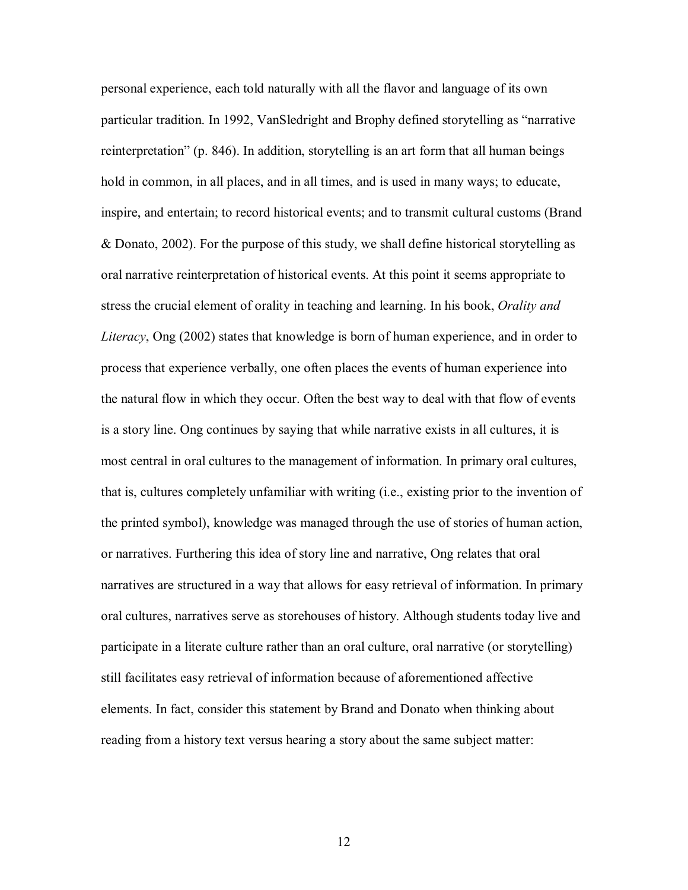personal experience, each told naturally with all the flavor and language of its own particular tradition. In 1992, VanSledright and Brophy defined storytelling as "narrative reinterpretation" (p. 846). In addition, storytelling is an art form that all human beings hold in common, in all places, and in all times, and is used in many ways; to educate, inspire, and entertain; to record historical events; and to transmit cultural customs (Brand & Donato, 2002). For the purpose of this study, we shall define historical storytelling as oral narrative reinterpretation of historical events. At this point it seems appropriate to stress the crucial element of orality in teaching and learning. In his book, *Orality and Literacy*, Ong (2002) states that knowledge is born of human experience, and in order to process that experience verbally, one often places the events of human experience into the natural flow in which they occur. Often the best way to deal with that flow of events is a story line. Ong continues by saying that while narrative exists in all cultures, it is most central in oral cultures to the management of information. In primary oral cultures, that is, cultures completely unfamiliar with writing (i.e., existing prior to the invention of the printed symbol), knowledge was managed through the use of stories of human action, or narratives. Furthering this idea of story line and narrative, Ong relates that oral narratives are structured in a way that allows for easy retrieval of information. In primary oral cultures, narratives serve as storehouses of history. Although students today live and participate in a literate culture rather than an oral culture, oral narrative (or storytelling) still facilitates easy retrieval of information because of aforementioned affective elements. In fact, consider this statement by Brand and Donato when thinking about reading from a history text versus hearing a story about the same subject matter: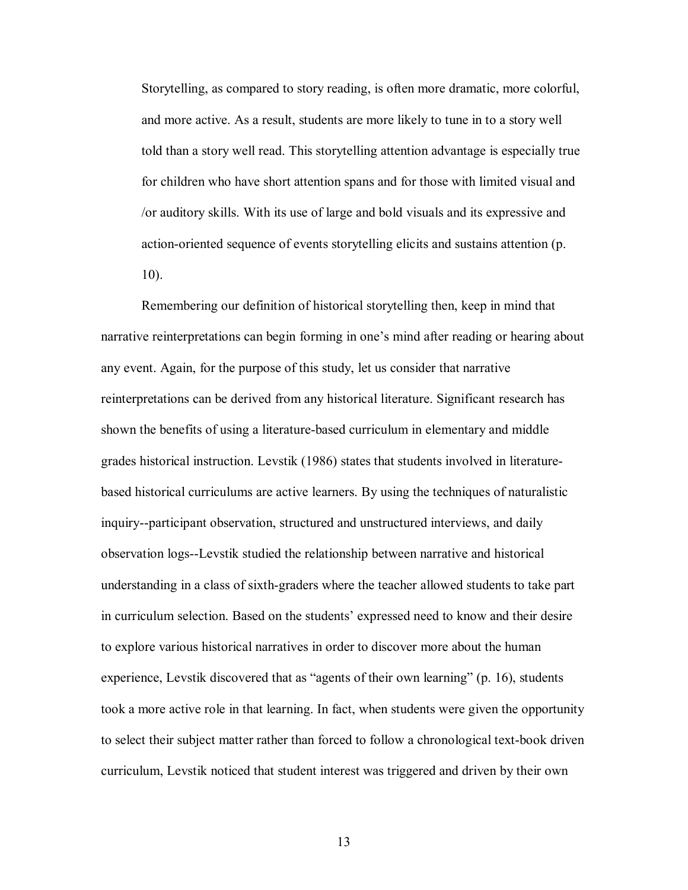Storytelling, as compared to story reading, is often more dramatic, more colorful, and more active. As a result, students are more likely to tune in to a story well told than a story well read. This storytelling attention advantage is especially true for children who have short attention spans and for those with limited visual and /or auditory skills. With its use of large and bold visuals and its expressive and action-oriented sequence of events storytelling elicits and sustains attention (p.

10).

Remembering our definition of historical storytelling then, keep in mind that narrative reinterpretations can begin forming in one's mind after reading or hearing about any event. Again, for the purpose of this study, let us consider that narrative reinterpretations can be derived from any historical literature. Significant research has shown the benefits of using a literature-based curriculum in elementary and middle grades historical instruction. Levstik (1986) states that students involved in literaturebased historical curriculums are active learners. By using the techniques of naturalistic inquiry--participant observation, structured and unstructured interviews, and daily observation logs--Levstik studied the relationship between narrative and historical understanding in a class of sixth-graders where the teacher allowed students to take part in curriculum selection. Based on the studentsí expressed need to know and their desire to explore various historical narratives in order to discover more about the human experience, Levstik discovered that as "agents of their own learning" (p. 16), students took a more active role in that learning. In fact, when students were given the opportunity to select their subject matter rather than forced to follow a chronological text-book driven curriculum, Levstik noticed that student interest was triggered and driven by their own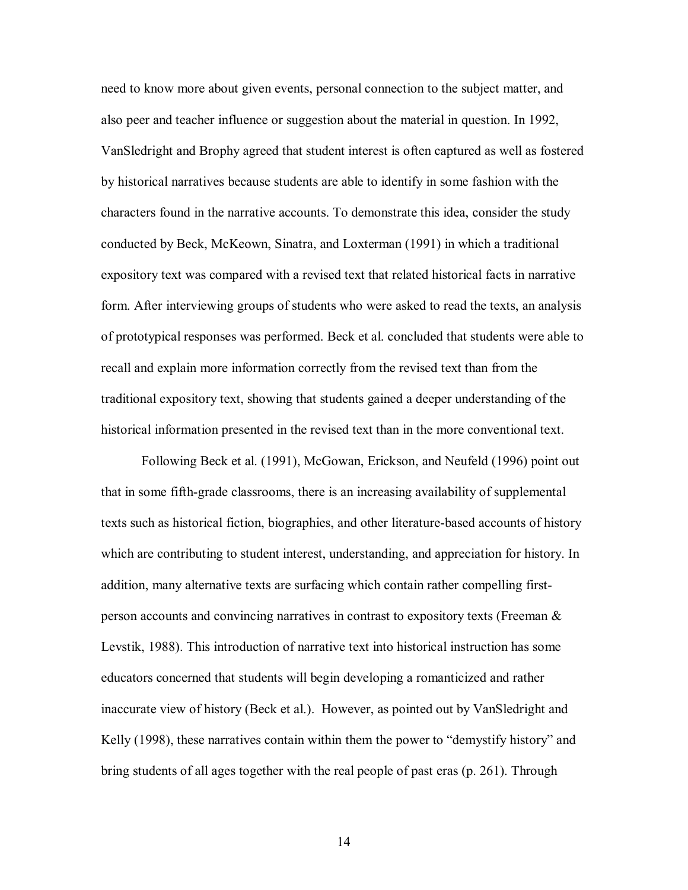need to know more about given events, personal connection to the subject matter, and also peer and teacher influence or suggestion about the material in question. In 1992, VanSledright and Brophy agreed that student interest is often captured as well as fostered by historical narratives because students are able to identify in some fashion with the characters found in the narrative accounts. To demonstrate this idea, consider the study conducted by Beck, McKeown, Sinatra, and Loxterman (1991) in which a traditional expository text was compared with a revised text that related historical facts in narrative form. After interviewing groups of students who were asked to read the texts, an analysis of prototypical responses was performed. Beck et al. concluded that students were able to recall and explain more information correctly from the revised text than from the traditional expository text, showing that students gained a deeper understanding of the historical information presented in the revised text than in the more conventional text.

Following Beck et al. (1991), McGowan, Erickson, and Neufeld (1996) point out that in some fifth-grade classrooms, there is an increasing availability of supplemental texts such as historical fiction, biographies, and other literature-based accounts of history which are contributing to student interest, understanding, and appreciation for history. In addition, many alternative texts are surfacing which contain rather compelling firstperson accounts and convincing narratives in contrast to expository texts (Freeman & Levstik, 1988). This introduction of narrative text into historical instruction has some educators concerned that students will begin developing a romanticized and rather inaccurate view of history (Beck et al.). However, as pointed out by VanSledright and Kelly (1998), these narratives contain within them the power to "demystify history" and bring students of all ages together with the real people of past eras (p. 261). Through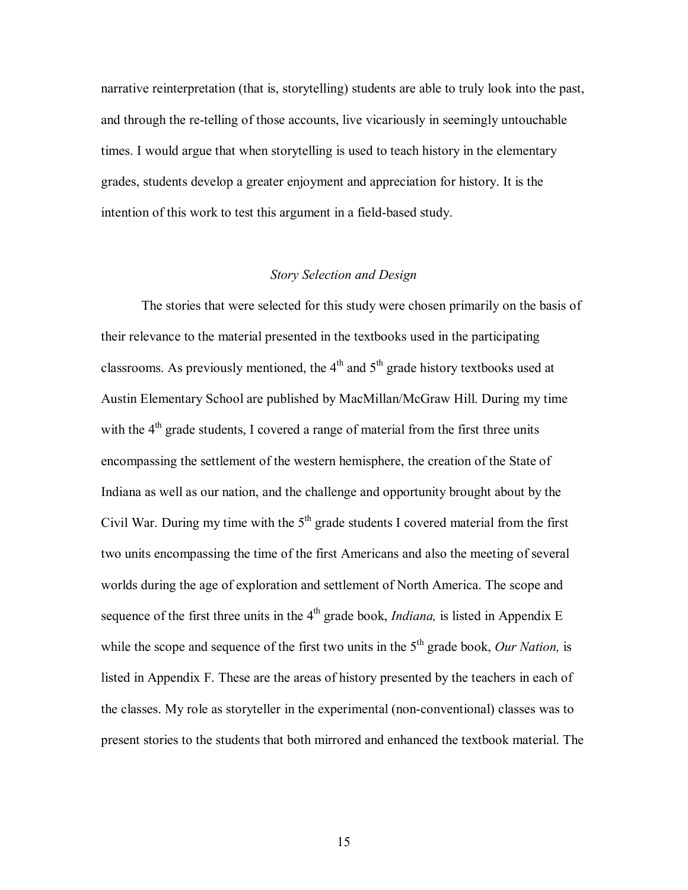narrative reinterpretation (that is, storytelling) students are able to truly look into the past, and through the re-telling of those accounts, live vicariously in seemingly untouchable times. I would argue that when storytelling is used to teach history in the elementary grades, students develop a greater enjoyment and appreciation for history. It is the intention of this work to test this argument in a field-based study.

# *Story Selection and Design*

The stories that were selected for this study were chosen primarily on the basis of their relevance to the material presented in the textbooks used in the participating classrooms. As previously mentioned, the  $4<sup>th</sup>$  and  $5<sup>th</sup>$  grade history textbooks used at Austin Elementary School are published by MacMillan/McGraw Hill. During my time with the  $4<sup>th</sup>$  grade students, I covered a range of material from the first three units encompassing the settlement of the western hemisphere, the creation of the State of Indiana as well as our nation, and the challenge and opportunity brought about by the Civil War. During my time with the  $5<sup>th</sup>$  grade students I covered material from the first two units encompassing the time of the first Americans and also the meeting of several worlds during the age of exploration and settlement of North America. The scope and sequence of the first three units in the  $4<sup>th</sup>$  grade book, *Indiana*, is listed in Appendix E while the scope and sequence of the first two units in the  $5<sup>th</sup>$  grade book, *Our Nation*, is listed in Appendix F. These are the areas of history presented by the teachers in each of the classes. My role as storyteller in the experimental (non-conventional) classes was to present stories to the students that both mirrored and enhanced the textbook material. The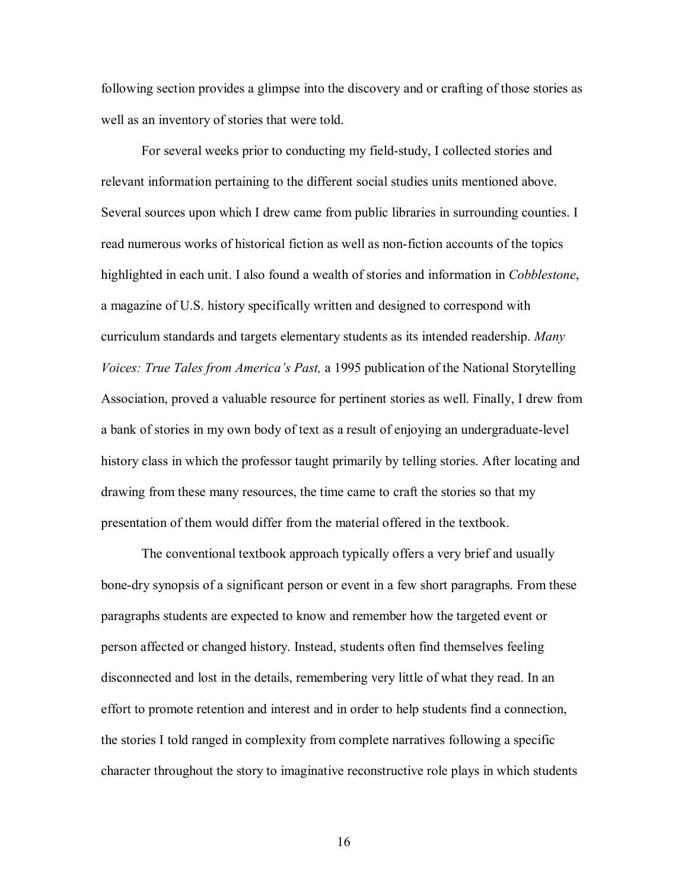following section provides a glimpse into the discovery and or crafting of those stories as well as an inventory of stories that were told.

For several weeks prior to conducting my field-study, I collected stories and relevant information pertaining to the different social studies units mentioned above. Several sources upon which I drew came from public libraries in surrounding counties. I read numerous works of historical fiction as well as non-fiction accounts of the topics highlighted in each unit. I also found a wealth of stories and information in *Cobblestone*, a magazine of U.S. history specifically written and designed to correspond with curriculum standards and targets elementary students as its intended readership. *Many Voices: True Tales from Americaís Past,* a 1995 publication of the National Storytelling Association, proved a valuable resource for pertinent stories as well. Finally, I drew from a bank of stories in my own body of text as a result of enjoying an undergraduate-level history class in which the professor taught primarily by telling stories. After locating and drawing from these many resources, the time came to craft the stories so that my presentation of them would differ from the material offered in the textbook.

The conventional textbook approach typically offers a very brief and usually bone-dry synopsis of a significant person or event in a few short paragraphs. From these paragraphs students are expected to know and remember how the targeted event or person affected or changed history. Instead, students often find themselves feeling disconnected and lost in the details, remembering very little of what they read. In an effort to promote retention and interest and in order to help students find a connection, the stories I told ranged in complexity from complete narratives following a specific character throughout the story to imaginative reconstructive role plays in which students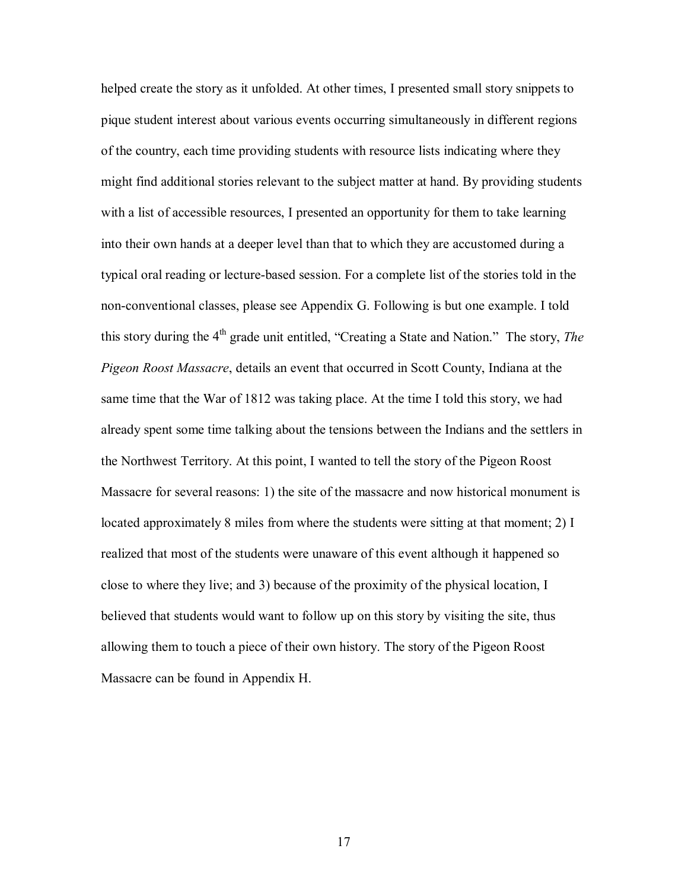helped create the story as it unfolded. At other times, I presented small story snippets to pique student interest about various events occurring simultaneously in different regions of the country, each time providing students with resource lists indicating where they might find additional stories relevant to the subject matter at hand. By providing students with a list of accessible resources, I presented an opportunity for them to take learning into their own hands at a deeper level than that to which they are accustomed during a typical oral reading or lecture-based session. For a complete list of the stories told in the non-conventional classes, please see Appendix G. Following is but one example. I told this story during the 4<sup>th</sup> grade unit entitled, "Creating a State and Nation." The story, *The Pigeon Roost Massacre*, details an event that occurred in Scott County, Indiana at the same time that the War of 1812 was taking place. At the time I told this story, we had already spent some time talking about the tensions between the Indians and the settlers in the Northwest Territory. At this point, I wanted to tell the story of the Pigeon Roost Massacre for several reasons: 1) the site of the massacre and now historical monument is located approximately 8 miles from where the students were sitting at that moment; 2) I realized that most of the students were unaware of this event although it happened so close to where they live; and 3) because of the proximity of the physical location, I believed that students would want to follow up on this story by visiting the site, thus allowing them to touch a piece of their own history. The story of the Pigeon Roost Massacre can be found in Appendix H.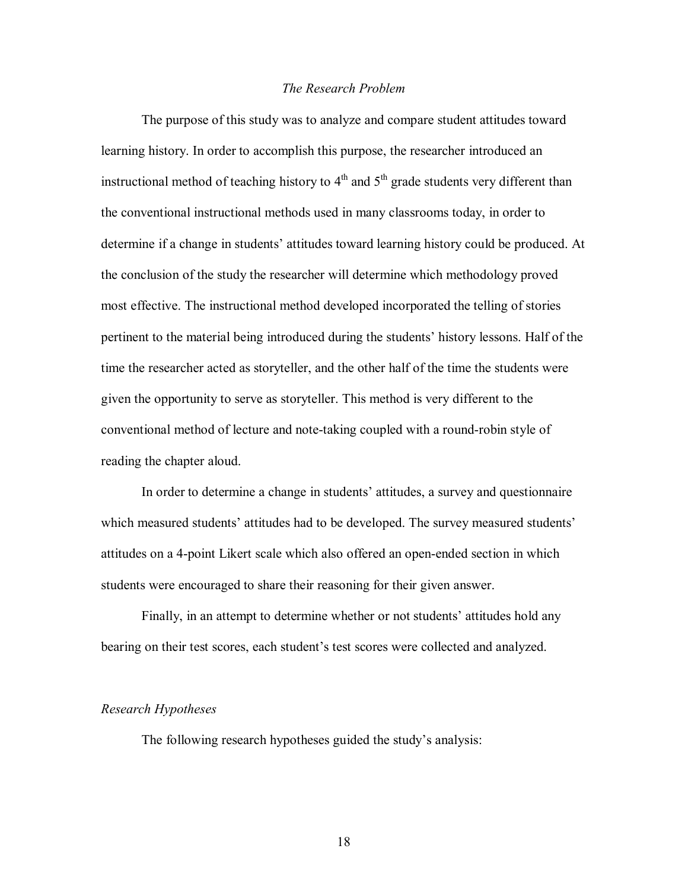## *The Research Problem*

 The purpose of this study was to analyze and compare student attitudes toward learning history. In order to accomplish this purpose, the researcher introduced an instructional method of teaching history to  $4<sup>th</sup>$  and  $5<sup>th</sup>$  grade students very different than the conventional instructional methods used in many classrooms today, in order to determine if a change in students' attitudes toward learning history could be produced. At the conclusion of the study the researcher will determine which methodology proved most effective. The instructional method developed incorporated the telling of stories pertinent to the material being introduced during the studentsí history lessons. Half of the time the researcher acted as storyteller, and the other half of the time the students were given the opportunity to serve as storyteller. This method is very different to the conventional method of lecture and note-taking coupled with a round-robin style of reading the chapter aloud.

In order to determine a change in students' attitudes, a survey and questionnaire which measured students' attitudes had to be developed. The survey measured students' attitudes on a 4-point Likert scale which also offered an open-ended section in which students were encouraged to share their reasoning for their given answer.

Finally, in an attempt to determine whether or not students' attitudes hold any bearing on their test scores, each student's test scores were collected and analyzed.

#### *Research Hypotheses*

The following research hypotheses guided the study's analysis: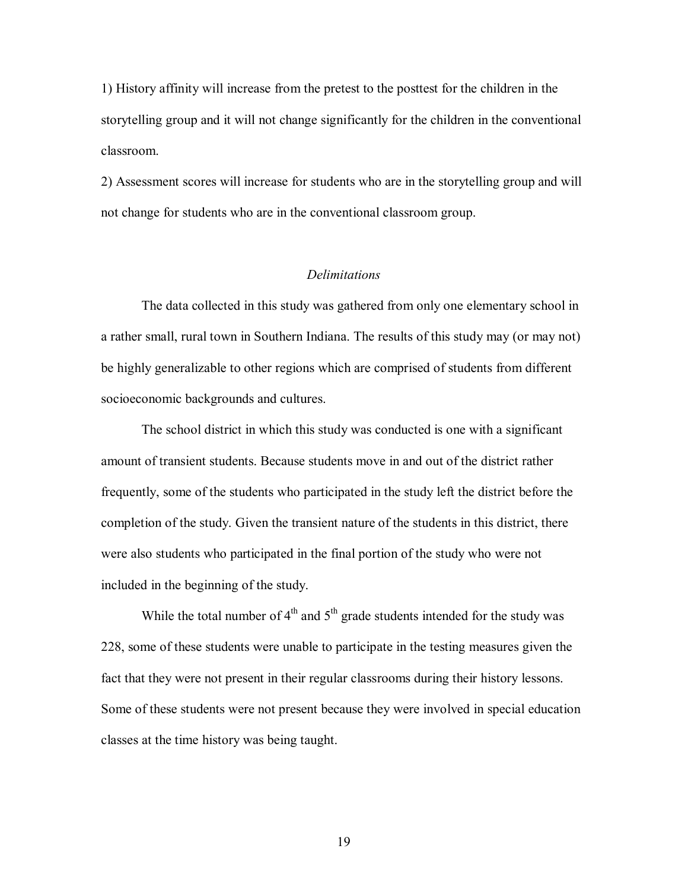1) History affinity will increase from the pretest to the posttest for the children in the storytelling group and it will not change significantly for the children in the conventional classroom.

2) Assessment scores will increase for students who are in the storytelling group and will not change for students who are in the conventional classroom group.

# *Delimitations*

 The data collected in this study was gathered from only one elementary school in a rather small, rural town in Southern Indiana. The results of this study may (or may not) be highly generalizable to other regions which are comprised of students from different socioeconomic backgrounds and cultures.

 The school district in which this study was conducted is one with a significant amount of transient students. Because students move in and out of the district rather frequently, some of the students who participated in the study left the district before the completion of the study. Given the transient nature of the students in this district, there were also students who participated in the final portion of the study who were not included in the beginning of the study.

While the total number of  $4<sup>th</sup>$  and  $5<sup>th</sup>$  grade students intended for the study was 228, some of these students were unable to participate in the testing measures given the fact that they were not present in their regular classrooms during their history lessons. Some of these students were not present because they were involved in special education classes at the time history was being taught.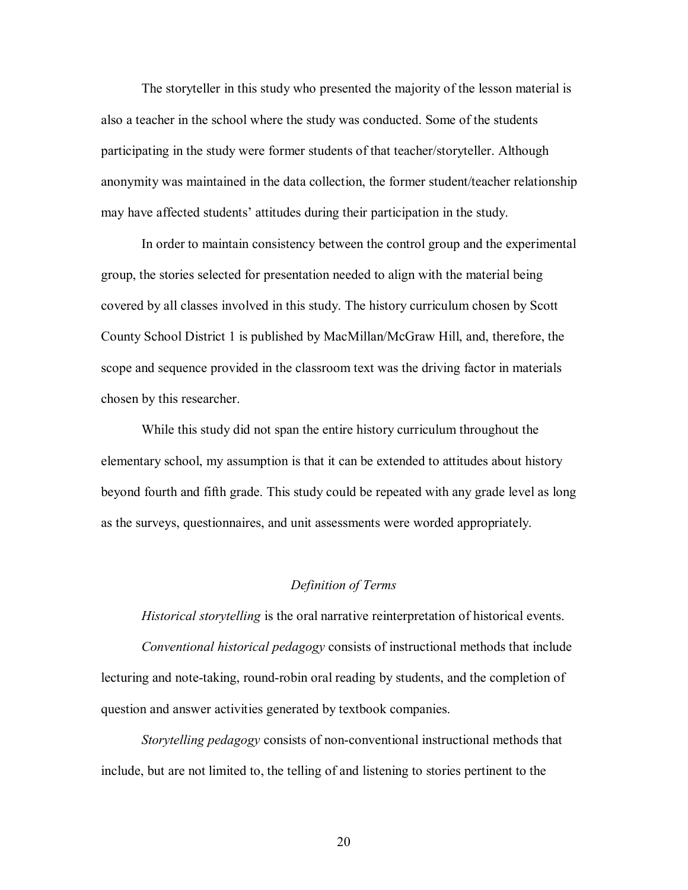The storyteller in this study who presented the majority of the lesson material is also a teacher in the school where the study was conducted. Some of the students participating in the study were former students of that teacher/storyteller. Although anonymity was maintained in the data collection, the former student/teacher relationship may have affected students' attitudes during their participation in the study.

 In order to maintain consistency between the control group and the experimental group, the stories selected for presentation needed to align with the material being covered by all classes involved in this study. The history curriculum chosen by Scott County School District 1 is published by MacMillan/McGraw Hill, and, therefore, the scope and sequence provided in the classroom text was the driving factor in materials chosen by this researcher.

While this study did not span the entire history curriculum throughout the elementary school, my assumption is that it can be extended to attitudes about history beyond fourth and fifth grade. This study could be repeated with any grade level as long as the surveys, questionnaires, and unit assessments were worded appropriately.

# *Definition of Terms*

*Historical storytelling* is the oral narrative reinterpretation of historical events.

*Conventional historical pedagogy* consists of instructional methods that include lecturing and note-taking, round-robin oral reading by students, and the completion of question and answer activities generated by textbook companies.

*Storytelling pedagogy* consists of non-conventional instructional methods that include, but are not limited to, the telling of and listening to stories pertinent to the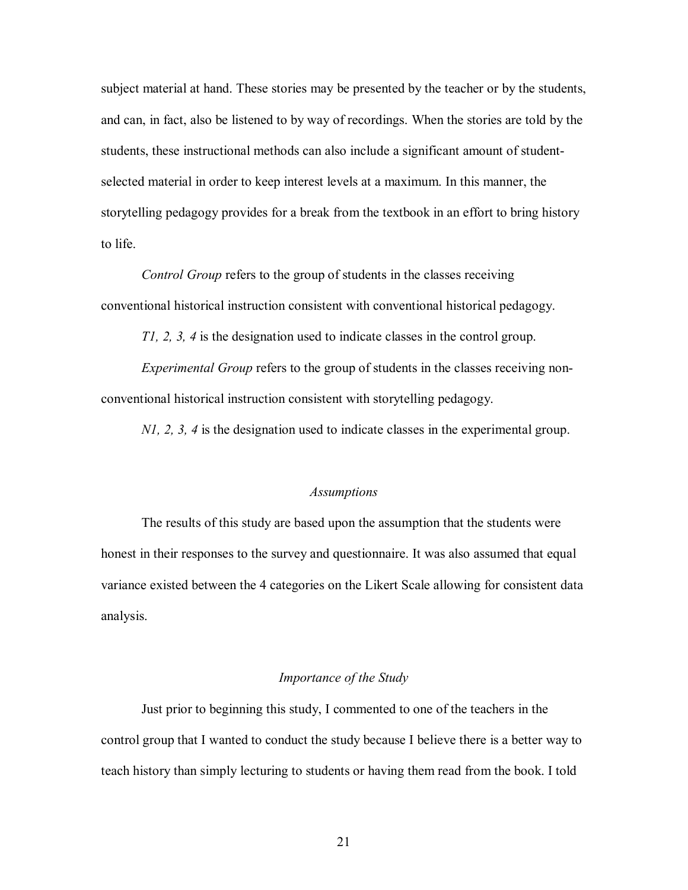subject material at hand. These stories may be presented by the teacher or by the students, and can, in fact, also be listened to by way of recordings. When the stories are told by the students, these instructional methods can also include a significant amount of studentselected material in order to keep interest levels at a maximum. In this manner, the storytelling pedagogy provides for a break from the textbook in an effort to bring history to life.

*Control Group* refers to the group of students in the classes receiving conventional historical instruction consistent with conventional historical pedagogy.

*T1, 2, 3, 4* is the designation used to indicate classes in the control group.

*Experimental Group* refers to the group of students in the classes receiving nonconventional historical instruction consistent with storytelling pedagogy.

*N1, 2, 3, 4* is the designation used to indicate classes in the experimental group.

#### *Assumptions*

 The results of this study are based upon the assumption that the students were honest in their responses to the survey and questionnaire. It was also assumed that equal variance existed between the 4 categories on the Likert Scale allowing for consistent data analysis.

# *Importance of the Study*

 Just prior to beginning this study, I commented to one of the teachers in the control group that I wanted to conduct the study because I believe there is a better way to teach history than simply lecturing to students or having them read from the book. I told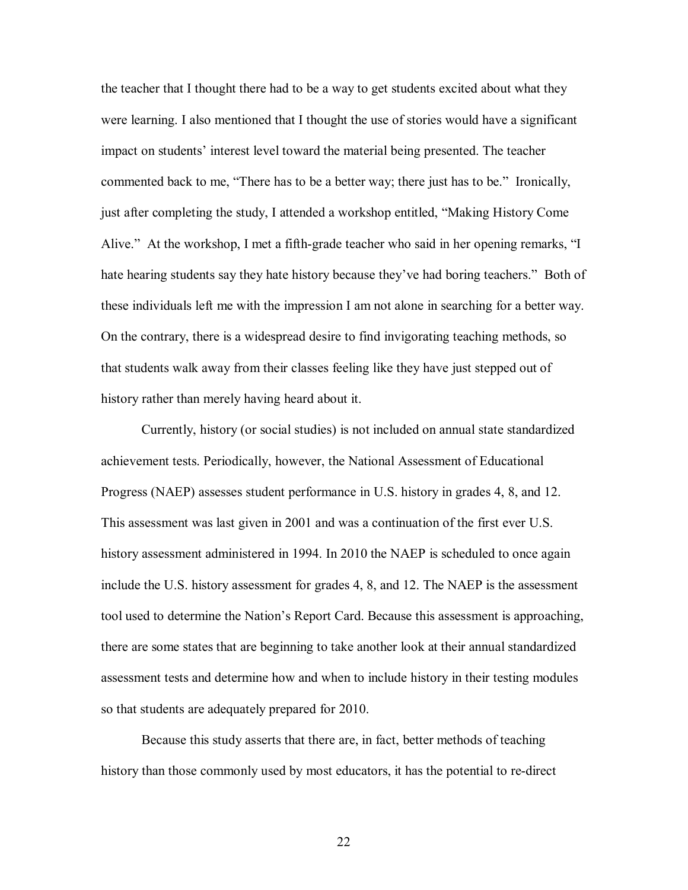the teacher that I thought there had to be a way to get students excited about what they were learning. I also mentioned that I thought the use of stories would have a significant impact on students' interest level toward the material being presented. The teacher commented back to me, "There has to be a better way; there just has to be." Ironically, just after completing the study, I attended a workshop entitled, "Making History Come Alive." At the workshop, I met a fifth-grade teacher who said in her opening remarks, "I hate hearing students say they hate history because they've had boring teachers." Both of these individuals left me with the impression I am not alone in searching for a better way. On the contrary, there is a widespread desire to find invigorating teaching methods, so that students walk away from their classes feeling like they have just stepped out of history rather than merely having heard about it.

 Currently, history (or social studies) is not included on annual state standardized achievement tests. Periodically, however, the National Assessment of Educational Progress (NAEP) assesses student performance in U.S. history in grades 4, 8, and 12. This assessment was last given in 2001 and was a continuation of the first ever U.S. history assessment administered in 1994. In 2010 the NAEP is scheduled to once again include the U.S. history assessment for grades 4, 8, and 12. The NAEP is the assessment tool used to determine the Nationís Report Card. Because this assessment is approaching, there are some states that are beginning to take another look at their annual standardized assessment tests and determine how and when to include history in their testing modules so that students are adequately prepared for 2010.

 Because this study asserts that there are, in fact, better methods of teaching history than those commonly used by most educators, it has the potential to re-direct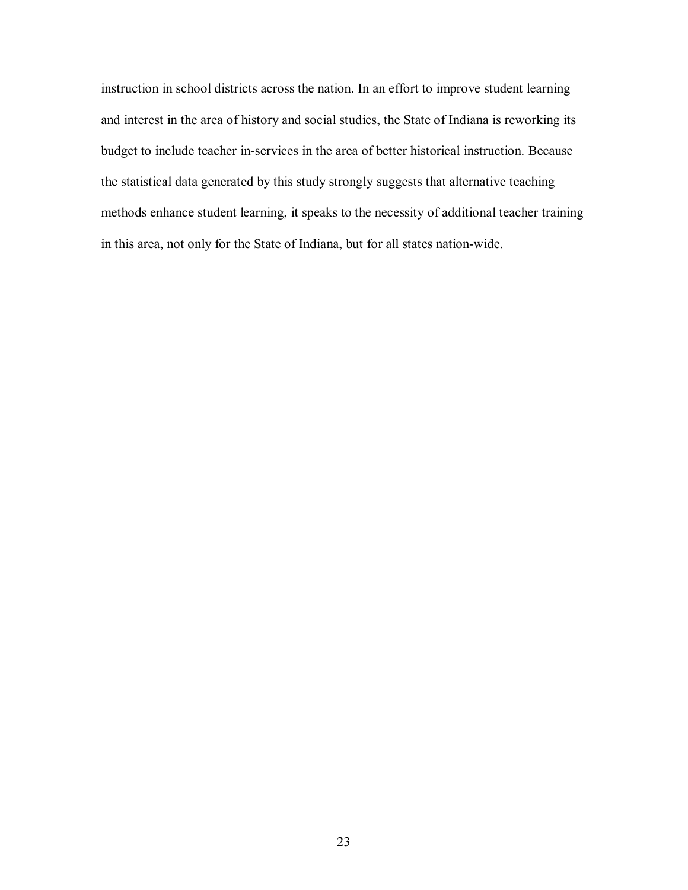instruction in school districts across the nation. In an effort to improve student learning and interest in the area of history and social studies, the State of Indiana is reworking its budget to include teacher in-services in the area of better historical instruction. Because the statistical data generated by this study strongly suggests that alternative teaching methods enhance student learning, it speaks to the necessity of additional teacher training in this area, not only for the State of Indiana, but for all states nation-wide.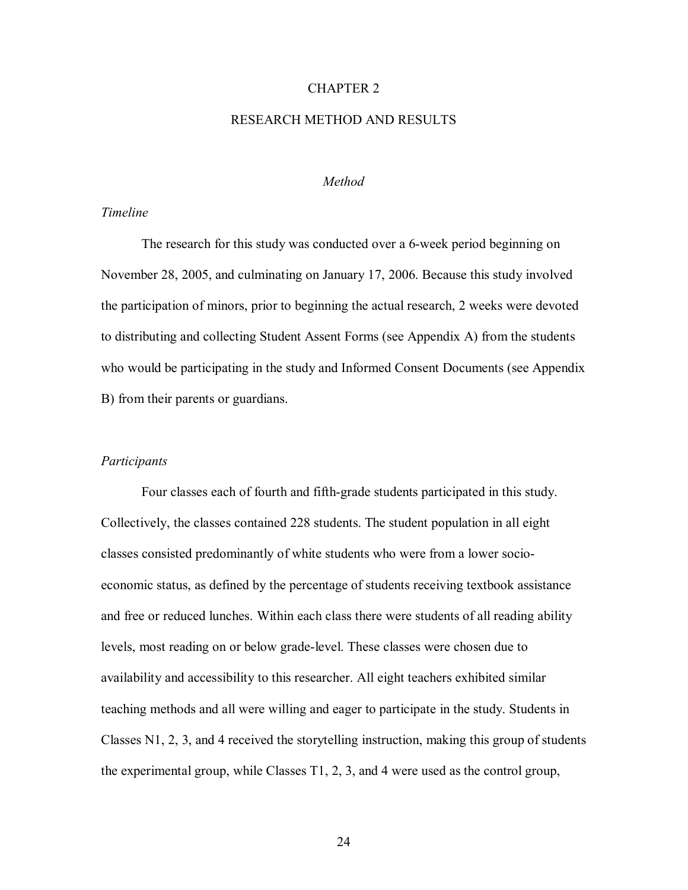# CHAPTER 2

# RESEARCH METHOD AND RESULTS

## *Method*

# *Timeline*

 The research for this study was conducted over a 6-week period beginning on November 28, 2005, and culminating on January 17, 2006. Because this study involved the participation of minors, prior to beginning the actual research, 2 weeks were devoted to distributing and collecting Student Assent Forms (see Appendix A) from the students who would be participating in the study and Informed Consent Documents (see Appendix B) from their parents or guardians.

#### *Participants*

 Four classes each of fourth and fifth-grade students participated in this study. Collectively, the classes contained 228 students. The student population in all eight classes consisted predominantly of white students who were from a lower socioeconomic status, as defined by the percentage of students receiving textbook assistance and free or reduced lunches. Within each class there were students of all reading ability levels, most reading on or below grade-level. These classes were chosen due to availability and accessibility to this researcher. All eight teachers exhibited similar teaching methods and all were willing and eager to participate in the study. Students in Classes N1, 2, 3, and 4 received the storytelling instruction, making this group of students the experimental group, while Classes T1, 2, 3, and 4 were used as the control group,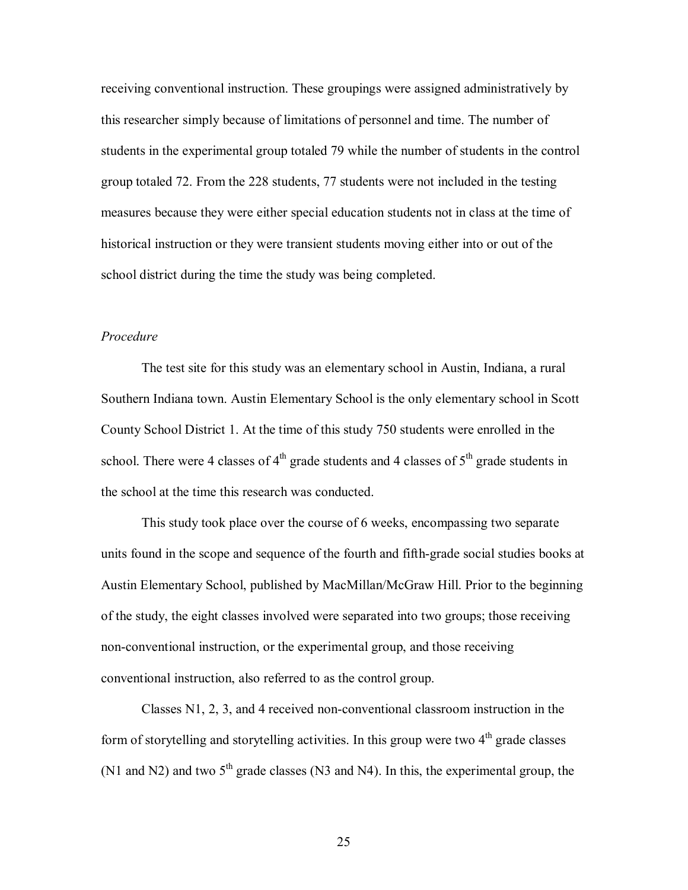receiving conventional instruction. These groupings were assigned administratively by this researcher simply because of limitations of personnel and time. The number of students in the experimental group totaled 79 while the number of students in the control group totaled 72. From the 228 students, 77 students were not included in the testing measures because they were either special education students not in class at the time of historical instruction or they were transient students moving either into or out of the school district during the time the study was being completed.

# *Procedure*

 The test site for this study was an elementary school in Austin, Indiana, a rural Southern Indiana town. Austin Elementary School is the only elementary school in Scott County School District 1. At the time of this study 750 students were enrolled in the school. There were 4 classes of  $4<sup>th</sup>$  grade students and 4 classes of  $5<sup>th</sup>$  grade students in the school at the time this research was conducted.

This study took place over the course of 6 weeks, encompassing two separate units found in the scope and sequence of the fourth and fifth-grade social studies books at Austin Elementary School, published by MacMillan/McGraw Hill. Prior to the beginning of the study, the eight classes involved were separated into two groups; those receiving non-conventional instruction, or the experimental group, and those receiving conventional instruction, also referred to as the control group.

Classes N1, 2, 3, and 4 received non-conventional classroom instruction in the form of storytelling and storytelling activities. In this group were two  $4<sup>th</sup>$  grade classes (N1 and N2) and two  $5<sup>th</sup>$  grade classes (N3 and N4). In this, the experimental group, the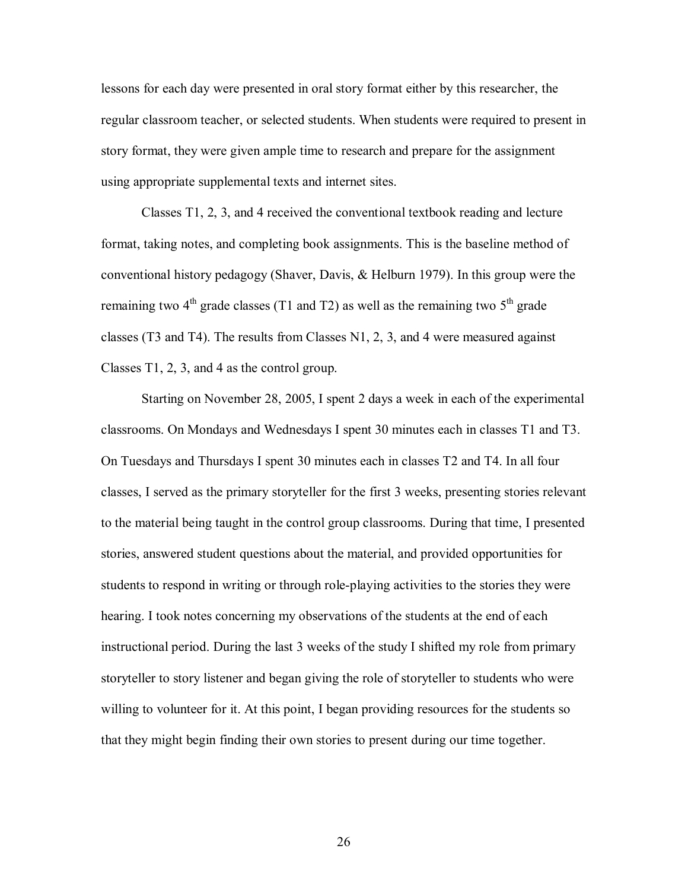lessons for each day were presented in oral story format either by this researcher, the regular classroom teacher, or selected students. When students were required to present in story format, they were given ample time to research and prepare for the assignment using appropriate supplemental texts and internet sites.

Classes T1, 2, 3, and 4 received the conventional textbook reading and lecture format, taking notes, and completing book assignments. This is the baseline method of conventional history pedagogy (Shaver, Davis, & Helburn 1979). In this group were the remaining two  $4<sup>th</sup>$  grade classes (T1 and T2) as well as the remaining two  $5<sup>th</sup>$  grade classes (T3 and T4). The results from Classes N1, 2, 3, and 4 were measured against Classes T1, 2, 3, and 4 as the control group.

Starting on November 28, 2005, I spent 2 days a week in each of the experimental classrooms. On Mondays and Wednesdays I spent 30 minutes each in classes T1 and T3. On Tuesdays and Thursdays I spent 30 minutes each in classes T2 and T4. In all four classes, I served as the primary storyteller for the first 3 weeks, presenting stories relevant to the material being taught in the control group classrooms. During that time, I presented stories, answered student questions about the material, and provided opportunities for students to respond in writing or through role-playing activities to the stories they were hearing. I took notes concerning my observations of the students at the end of each instructional period. During the last 3 weeks of the study I shifted my role from primary storyteller to story listener and began giving the role of storyteller to students who were willing to volunteer for it. At this point, I began providing resources for the students so that they might begin finding their own stories to present during our time together.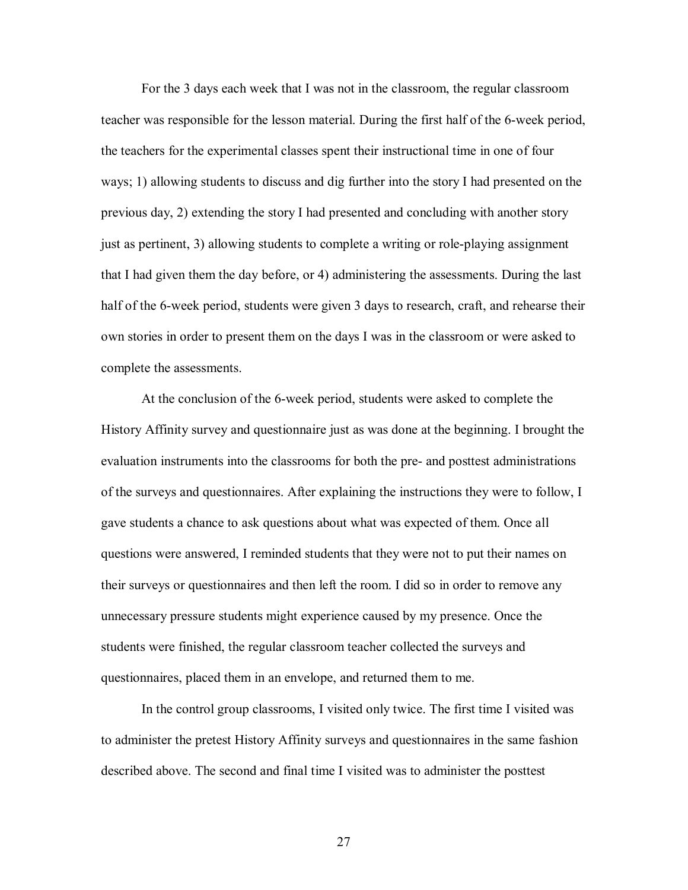For the 3 days each week that I was not in the classroom, the regular classroom teacher was responsible for the lesson material. During the first half of the 6-week period, the teachers for the experimental classes spent their instructional time in one of four ways; 1) allowing students to discuss and dig further into the story I had presented on the previous day, 2) extending the story I had presented and concluding with another story just as pertinent, 3) allowing students to complete a writing or role-playing assignment that I had given them the day before, or 4) administering the assessments. During the last half of the 6-week period, students were given 3 days to research, craft, and rehearse their own stories in order to present them on the days I was in the classroom or were asked to complete the assessments.

At the conclusion of the 6-week period, students were asked to complete the History Affinity survey and questionnaire just as was done at the beginning. I brought the evaluation instruments into the classrooms for both the pre- and posttest administrations of the surveys and questionnaires. After explaining the instructions they were to follow, I gave students a chance to ask questions about what was expected of them. Once all questions were answered, I reminded students that they were not to put their names on their surveys or questionnaires and then left the room. I did so in order to remove any unnecessary pressure students might experience caused by my presence. Once the students were finished, the regular classroom teacher collected the surveys and questionnaires, placed them in an envelope, and returned them to me.

In the control group classrooms, I visited only twice. The first time I visited was to administer the pretest History Affinity surveys and questionnaires in the same fashion described above. The second and final time I visited was to administer the posttest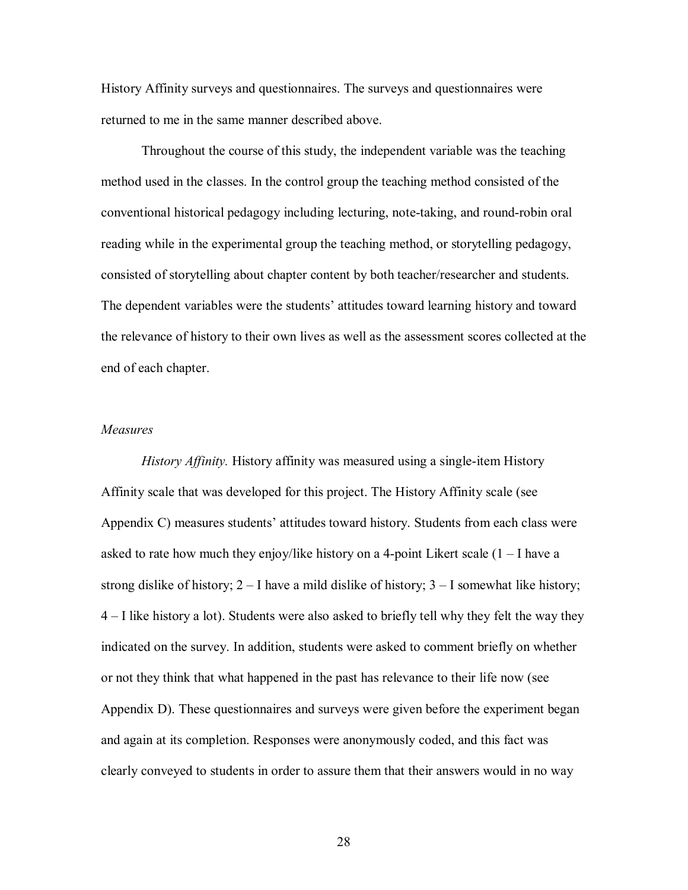History Affinity surveys and questionnaires. The surveys and questionnaires were returned to me in the same manner described above.

Throughout the course of this study, the independent variable was the teaching method used in the classes. In the control group the teaching method consisted of the conventional historical pedagogy including lecturing, note-taking, and round-robin oral reading while in the experimental group the teaching method, or storytelling pedagogy, consisted of storytelling about chapter content by both teacher/researcher and students. The dependent variables were the students' attitudes toward learning history and toward the relevance of history to their own lives as well as the assessment scores collected at the end of each chapter.

# *Measures*

 *History Affinity.* History affinity was measured using a single-item History Affinity scale that was developed for this project. The History Affinity scale (see Appendix C) measures students' attitudes toward history. Students from each class were asked to rate how much they enjoy/like history on a 4-point Likert scale  $(1 - I)$  have a strong dislike of history;  $2 - I$  have a mild dislike of history;  $3 - I$  somewhat like history;  $4 - I$  like history a lot). Students were also asked to briefly tell why they felt the way they indicated on the survey. In addition, students were asked to comment briefly on whether or not they think that what happened in the past has relevance to their life now (see Appendix D). These questionnaires and surveys were given before the experiment began and again at its completion. Responses were anonymously coded, and this fact was clearly conveyed to students in order to assure them that their answers would in no way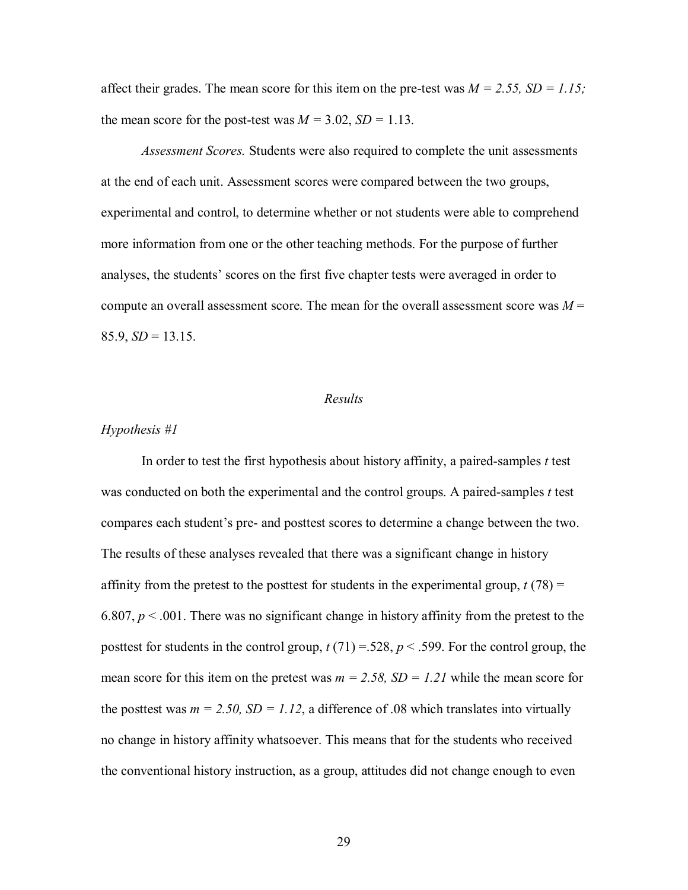affect their grades. The mean score for this item on the pre-test was  $M = 2.55$ ,  $SD = 1.15$ ; the mean score for the post-test was  $M = 3.02$ ,  $SD = 1.13$ .

*Assessment Scores.* Students were also required to complete the unit assessments at the end of each unit. Assessment scores were compared between the two groups, experimental and control, to determine whether or not students were able to comprehend more information from one or the other teaching methods. For the purpose of further analyses, the students' scores on the first five chapter tests were averaged in order to compute an overall assessment score. The mean for the overall assessment score was  $M =$  $85.9, SD = 13.15.$ 

#### *Results*

# *Hypothesis #1*

 In order to test the first hypothesis about history affinity, a paired-samples *t* test was conducted on both the experimental and the control groups. A paired-samples *t* test compares each student's pre- and posttest scores to determine a change between the two. The results of these analyses revealed that there was a significant change in history affinity from the pretest to the posttest for students in the experimental group,  $t(78) =$ 6.807,  $p < 0.001$ . There was no significant change in history affinity from the pretest to the posttest for students in the control group,  $t(71) = 528$ ,  $p < .599$ . For the control group, the mean score for this item on the pretest was  $m = 2.58$ ,  $SD = 1.21$  while the mean score for the posttest was  $m = 2.50$ ,  $SD = 1.12$ , a difference of .08 which translates into virtually no change in history affinity whatsoever. This means that for the students who received the conventional history instruction, as a group, attitudes did not change enough to even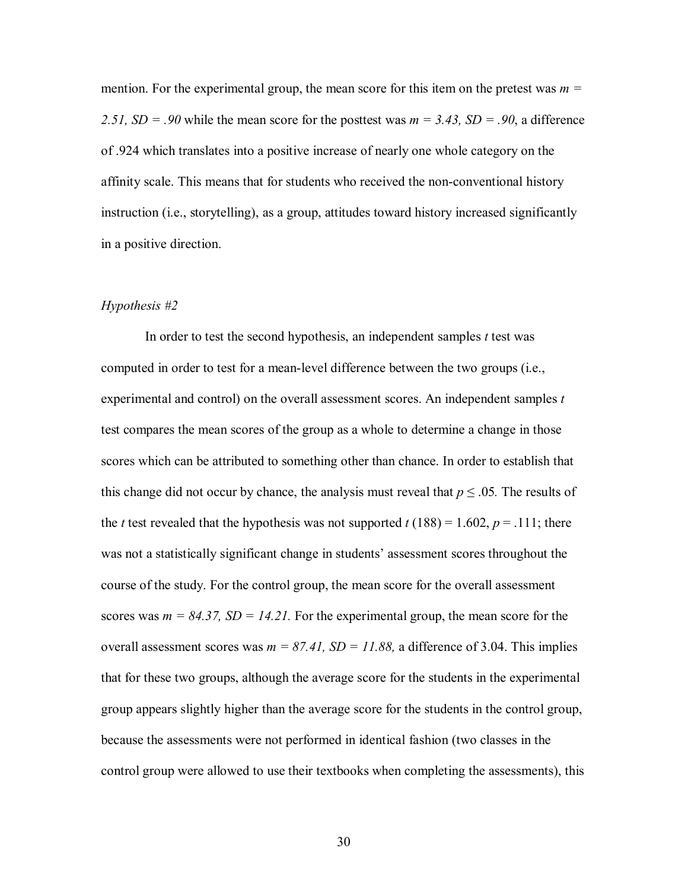mention. For the experimental group, the mean score for this item on the pretest was  $m =$ 2.51,  $SD = .90$  while the mean score for the posttest was  $m = 3.43$ ,  $SD = .90$ , a difference of .924 which translates into a positive increase of nearly one whole category on the affinity scale. This means that for students who received the non-conventional history instruction (i.e., storytelling), as a group, attitudes toward history increased significantly in a positive direction.

## *Hypothesis #2*

 In order to test the second hypothesis, an independent samples *t* test was computed in order to test for a mean-level difference between the two groups (i.e., experimental and control) on the overall assessment scores. An independent samples *t* test compares the mean scores of the group as a whole to determine a change in those scores which can be attributed to something other than chance. In order to establish that this change did not occur by chance, the analysis must reveal that  $p \le 0.05$ . The results of the *t* test revealed that the hypothesis was not supported  $t(188) = 1.602$ ,  $p = .111$ ; there was not a statistically significant change in students' assessment scores throughout the course of the study. For the control group, the mean score for the overall assessment scores was  $m = 84.37$ ,  $SD = 14.21$ . For the experimental group, the mean score for the overall assessment scores was  $m = 87.41$ ,  $SD = 11.88$ , a difference of 3.04. This implies that for these two groups, although the average score for the students in the experimental group appears slightly higher than the average score for the students in the control group, because the assessments were not performed in identical fashion (two classes in the control group were allowed to use their textbooks when completing the assessments), this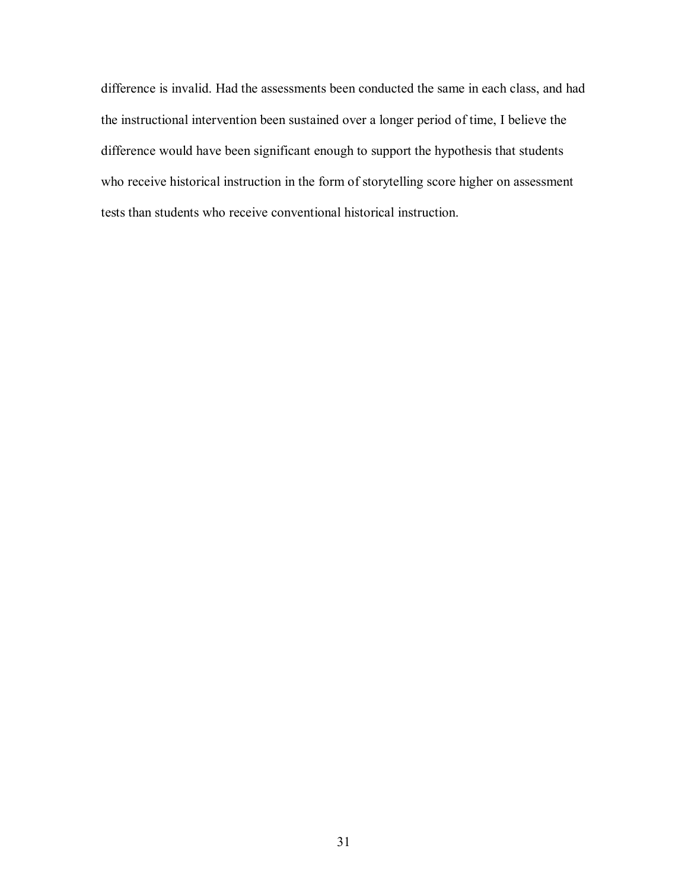difference is invalid. Had the assessments been conducted the same in each class, and had the instructional intervention been sustained over a longer period of time, I believe the difference would have been significant enough to support the hypothesis that students who receive historical instruction in the form of storytelling score higher on assessment tests than students who receive conventional historical instruction.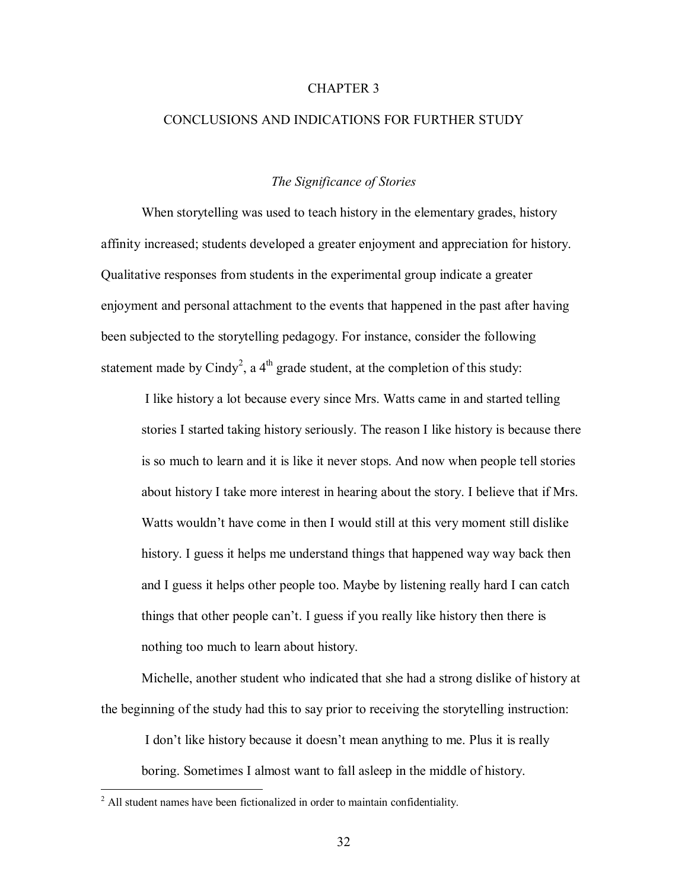# CHAPTER 3

# CONCLUSIONS AND INDICATIONS FOR FURTHER STUDY

# *The Significance of Stories*

When storytelling was used to teach history in the elementary grades, history affinity increased; students developed a greater enjoyment and appreciation for history. Qualitative responses from students in the experimental group indicate a greater enjoyment and personal attachment to the events that happened in the past after having been subjected to the storytelling pedagogy. For instance, consider the following statement made by Cindy<sup>2</sup>, a 4<sup>th</sup> grade student, at the completion of this study:

I like history a lot because every since Mrs. Watts came in and started telling stories I started taking history seriously. The reason I like history is because there is so much to learn and it is like it never stops. And now when people tell stories about history I take more interest in hearing about the story. I believe that if Mrs. Watts wouldn't have come in then I would still at this very moment still dislike history. I guess it helps me understand things that happened way way back then and I guess it helps other people too. Maybe by listening really hard I can catch things that other people can't. I guess if you really like history then there is nothing too much to learn about history.

Michelle, another student who indicated that she had a strong dislike of history at the beginning of the study had this to say prior to receiving the storytelling instruction:

I don't like history because it doesn't mean anything to me. Plus it is really boring. Sometimes I almost want to fall asleep in the middle of history.

 2 All student names have been fictionalized in order to maintain confidentiality.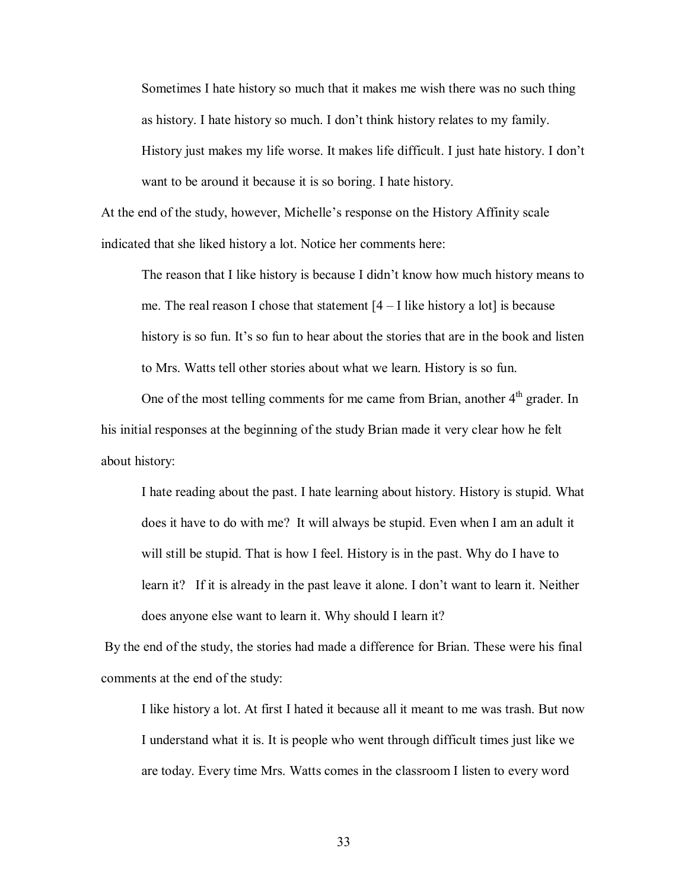Sometimes I hate history so much that it makes me wish there was no such thing as history. I hate history so much. I don't think history relates to my family. History just makes my life worse. It makes life difficult. I just hate history. I don't want to be around it because it is so boring. I hate history.

At the end of the study, however, Michelle's response on the History Affinity scale indicated that she liked history a lot. Notice her comments here:

The reason that I like history is because I didn't know how much history means to me. The real reason I chose that statement  $[4 - I]$  like history a lot is because history is so fun. It's so fun to hear about the stories that are in the book and listen to Mrs. Watts tell other stories about what we learn. History is so fun.

One of the most telling comments for me came from Brian, another  $4<sup>th</sup>$  grader. In his initial responses at the beginning of the study Brian made it very clear how he felt about history:

I hate reading about the past. I hate learning about history. History is stupid. What does it have to do with me? It will always be stupid. Even when I am an adult it will still be stupid. That is how I feel. History is in the past. Why do I have to learn it? If it is already in the past leave it alone. I don't want to learn it. Neither does anyone else want to learn it. Why should I learn it?

 By the end of the study, the stories had made a difference for Brian. These were his final comments at the end of the study:

I like history a lot. At first I hated it because all it meant to me was trash. But now I understand what it is. It is people who went through difficult times just like we are today. Every time Mrs. Watts comes in the classroom I listen to every word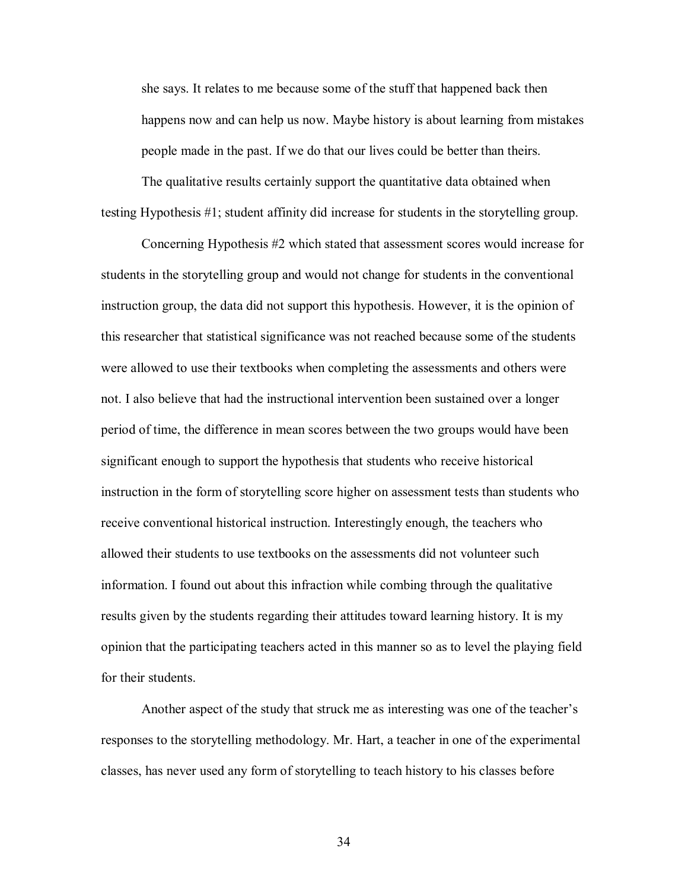she says. It relates to me because some of the stuff that happened back then happens now and can help us now. Maybe history is about learning from mistakes people made in the past. If we do that our lives could be better than theirs.

The qualitative results certainly support the quantitative data obtained when testing Hypothesis #1; student affinity did increase for students in the storytelling group.

Concerning Hypothesis #2 which stated that assessment scores would increase for students in the storytelling group and would not change for students in the conventional instruction group, the data did not support this hypothesis. However, it is the opinion of this researcher that statistical significance was not reached because some of the students were allowed to use their textbooks when completing the assessments and others were not. I also believe that had the instructional intervention been sustained over a longer period of time, the difference in mean scores between the two groups would have been significant enough to support the hypothesis that students who receive historical instruction in the form of storytelling score higher on assessment tests than students who receive conventional historical instruction. Interestingly enough, the teachers who allowed their students to use textbooks on the assessments did not volunteer such information. I found out about this infraction while combing through the qualitative results given by the students regarding their attitudes toward learning history. It is my opinion that the participating teachers acted in this manner so as to level the playing field for their students.

Another aspect of the study that struck me as interesting was one of the teacher's responses to the storytelling methodology. Mr. Hart, a teacher in one of the experimental classes, has never used any form of storytelling to teach history to his classes before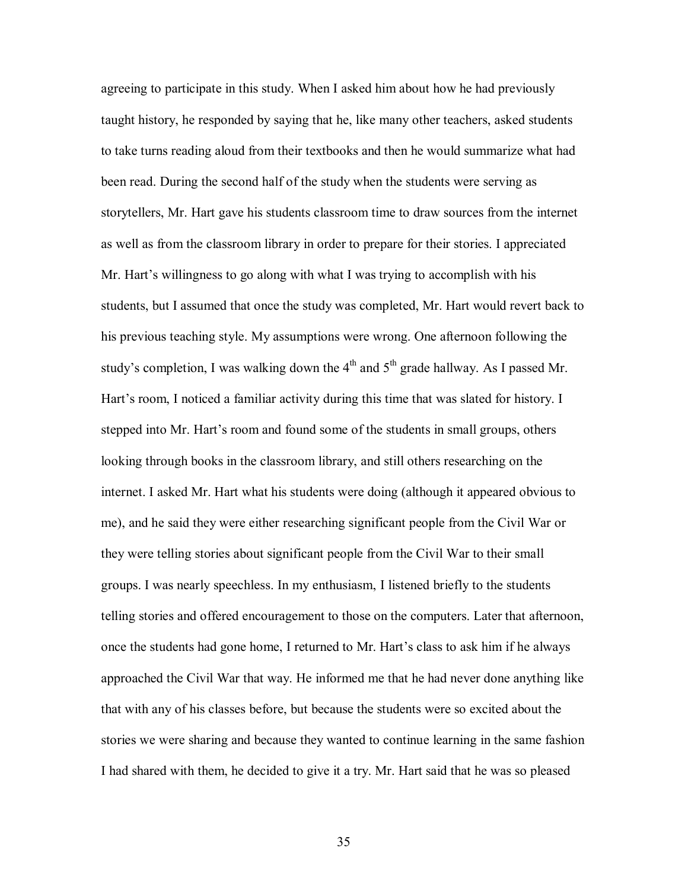agreeing to participate in this study. When I asked him about how he had previously taught history, he responded by saying that he, like many other teachers, asked students to take turns reading aloud from their textbooks and then he would summarize what had been read. During the second half of the study when the students were serving as storytellers, Mr. Hart gave his students classroom time to draw sources from the internet as well as from the classroom library in order to prepare for their stories. I appreciated Mr. Hart's willingness to go along with what I was trying to accomplish with his students, but I assumed that once the study was completed, Mr. Hart would revert back to his previous teaching style. My assumptions were wrong. One afternoon following the study's completion, I was walking down the  $4<sup>th</sup>$  and  $5<sup>th</sup>$  grade hallway. As I passed Mr. Hart's room, I noticed a familiar activity during this time that was slated for history. I stepped into Mr. Hart's room and found some of the students in small groups, others looking through books in the classroom library, and still others researching on the internet. I asked Mr. Hart what his students were doing (although it appeared obvious to me), and he said they were either researching significant people from the Civil War or they were telling stories about significant people from the Civil War to their small groups. I was nearly speechless. In my enthusiasm, I listened briefly to the students telling stories and offered encouragement to those on the computers. Later that afternoon, once the students had gone home, I returned to Mr. Hart's class to ask him if he always approached the Civil War that way. He informed me that he had never done anything like that with any of his classes before, but because the students were so excited about the stories we were sharing and because they wanted to continue learning in the same fashion I had shared with them, he decided to give it a try. Mr. Hart said that he was so pleased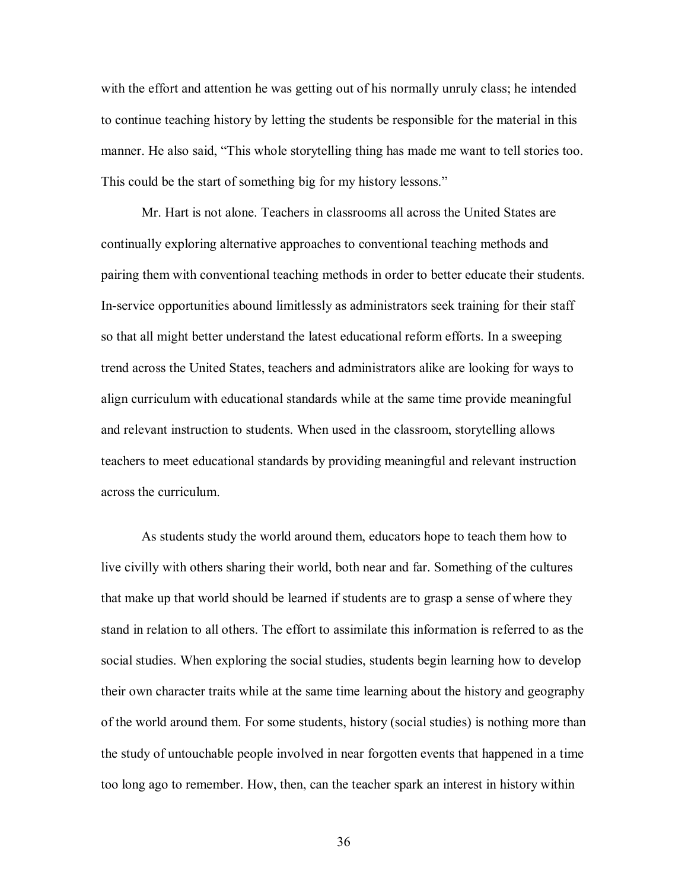with the effort and attention he was getting out of his normally unruly class; he intended to continue teaching history by letting the students be responsible for the material in this manner. He also said, "This whole storytelling thing has made me want to tell stories too. This could be the start of something big for my history lessons."

Mr. Hart is not alone. Teachers in classrooms all across the United States are continually exploring alternative approaches to conventional teaching methods and pairing them with conventional teaching methods in order to better educate their students. In-service opportunities abound limitlessly as administrators seek training for their staff so that all might better understand the latest educational reform efforts. In a sweeping trend across the United States, teachers and administrators alike are looking for ways to align curriculum with educational standards while at the same time provide meaningful and relevant instruction to students. When used in the classroom, storytelling allows teachers to meet educational standards by providing meaningful and relevant instruction across the curriculum.

As students study the world around them, educators hope to teach them how to live civilly with others sharing their world, both near and far. Something of the cultures that make up that world should be learned if students are to grasp a sense of where they stand in relation to all others. The effort to assimilate this information is referred to as the social studies. When exploring the social studies, students begin learning how to develop their own character traits while at the same time learning about the history and geography of the world around them. For some students, history (social studies) is nothing more than the study of untouchable people involved in near forgotten events that happened in a time too long ago to remember. How, then, can the teacher spark an interest in history within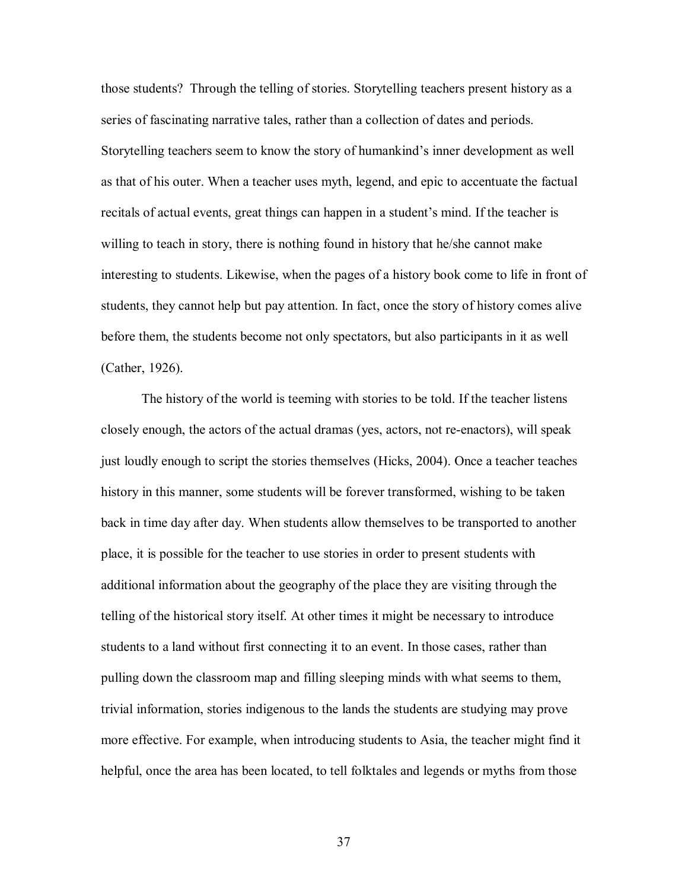those students? Through the telling of stories. Storytelling teachers present history as a series of fascinating narrative tales, rather than a collection of dates and periods. Storytelling teachers seem to know the story of humankind's inner development as well as that of his outer. When a teacher uses myth, legend, and epic to accentuate the factual recitals of actual events, great things can happen in a student's mind. If the teacher is willing to teach in story, there is nothing found in history that he/she cannot make interesting to students. Likewise, when the pages of a history book come to life in front of students, they cannot help but pay attention. In fact, once the story of history comes alive before them, the students become not only spectators, but also participants in it as well (Cather, 1926).

The history of the world is teeming with stories to be told. If the teacher listens closely enough, the actors of the actual dramas (yes, actors, not re-enactors), will speak just loudly enough to script the stories themselves (Hicks, 2004). Once a teacher teaches history in this manner, some students will be forever transformed, wishing to be taken back in time day after day. When students allow themselves to be transported to another place, it is possible for the teacher to use stories in order to present students with additional information about the geography of the place they are visiting through the telling of the historical story itself. At other times it might be necessary to introduce students to a land without first connecting it to an event. In those cases, rather than pulling down the classroom map and filling sleeping minds with what seems to them, trivial information, stories indigenous to the lands the students are studying may prove more effective. For example, when introducing students to Asia, the teacher might find it helpful, once the area has been located, to tell folktales and legends or myths from those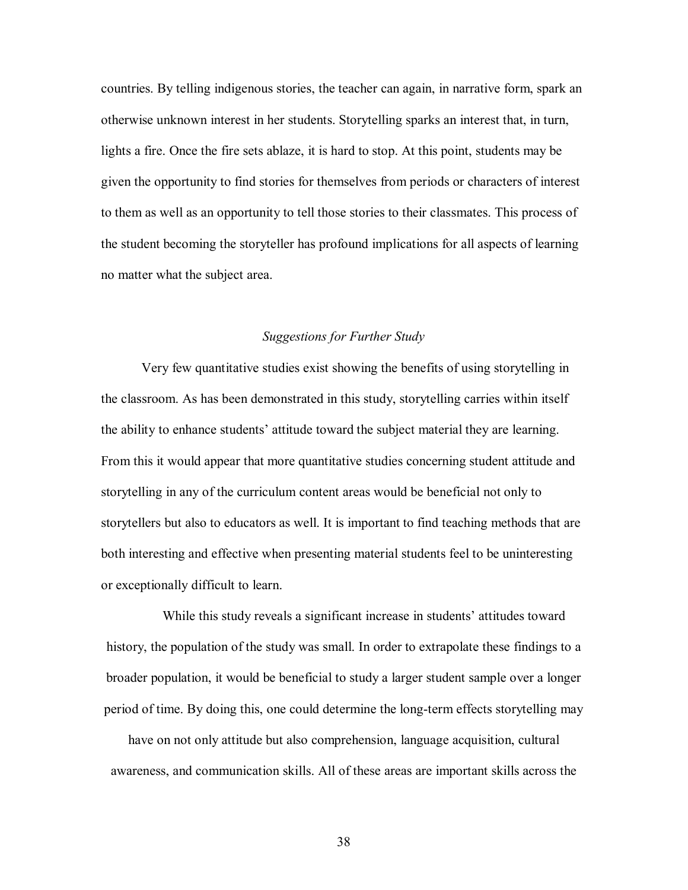countries. By telling indigenous stories, the teacher can again, in narrative form, spark an otherwise unknown interest in her students. Storytelling sparks an interest that, in turn, lights a fire. Once the fire sets ablaze, it is hard to stop. At this point, students may be given the opportunity to find stories for themselves from periods or characters of interest to them as well as an opportunity to tell those stories to their classmates. This process of the student becoming the storyteller has profound implications for all aspects of learning no matter what the subject area.

# *Suggestions for Further Study*

 Very few quantitative studies exist showing the benefits of using storytelling in the classroom. As has been demonstrated in this study, storytelling carries within itself the ability to enhance students' attitude toward the subject material they are learning. From this it would appear that more quantitative studies concerning student attitude and storytelling in any of the curriculum content areas would be beneficial not only to storytellers but also to educators as well. It is important to find teaching methods that are both interesting and effective when presenting material students feel to be uninteresting or exceptionally difficult to learn.

While this study reveals a significant increase in students' attitudes toward history, the population of the study was small. In order to extrapolate these findings to a broader population, it would be beneficial to study a larger student sample over a longer period of time. By doing this, one could determine the long-term effects storytelling may

have on not only attitude but also comprehension, language acquisition, cultural awareness, and communication skills. All of these areas are important skills across the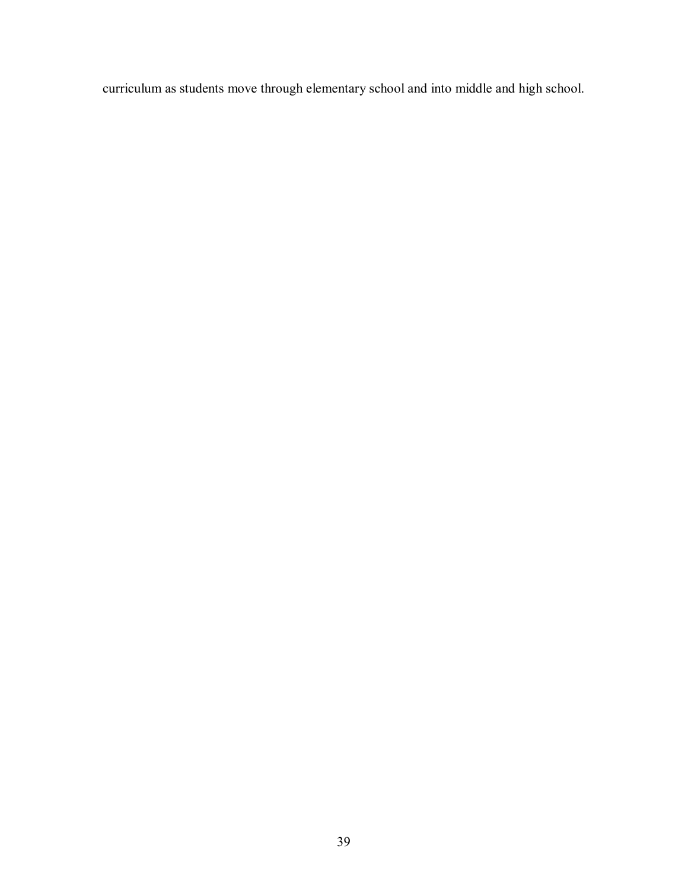curriculum as students move through elementary school and into middle and high school.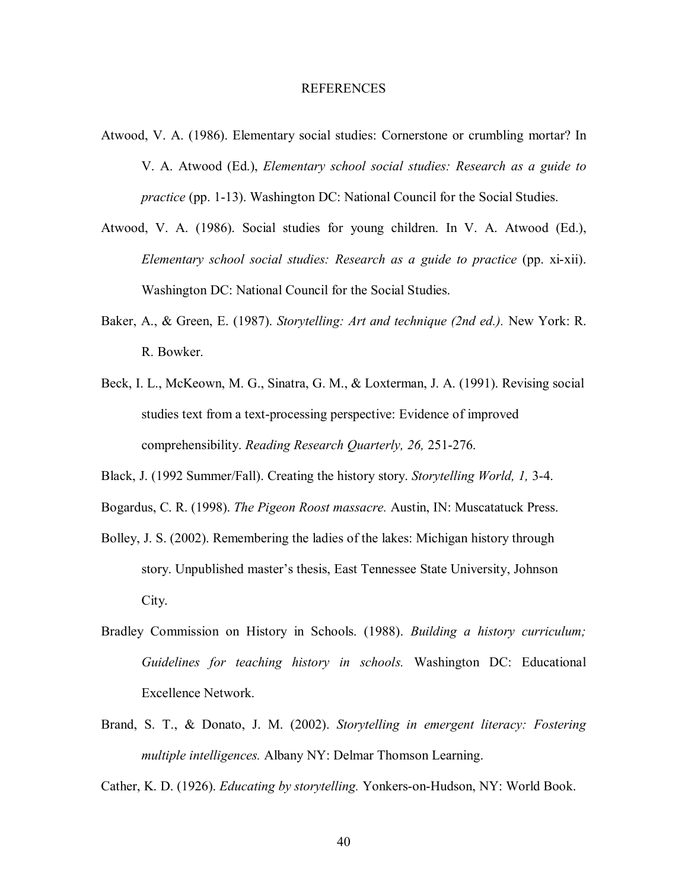#### REFERENCES

- Atwood, V. A. (1986). Elementary social studies: Cornerstone or crumbling mortar? In V. A. Atwood (Ed.), *Elementary school social studies: Research as a guide to practice* (pp. 1-13). Washington DC: National Council for the Social Studies.
- Atwood, V. A. (1986). Social studies for young children. In V. A. Atwood (Ed.), *Elementary school social studies: Research as a guide to practice* (pp. xi-xii). Washington DC: National Council for the Social Studies.
- Baker, A., & Green, E. (1987). *Storytelling: Art and technique (2nd ed.).* New York: R. R. Bowker.
- Beck, I. L., McKeown, M. G., Sinatra, G. M., & Loxterman, J. A. (1991). Revising social studies text from a text-processing perspective: Evidence of improved comprehensibility. *Reading Research Quarterly, 26,* 251-276.
- Black, J. (1992 Summer/Fall). Creating the history story. *Storytelling World, 1,* 3-4.
- Bogardus, C. R. (1998). *The Pigeon Roost massacre.* Austin, IN: Muscatatuck Press.
- Bolley, J. S. (2002). Remembering the ladies of the lakes: Michigan history through story. Unpublished master's thesis, East Tennessee State University, Johnson City.
- Bradley Commission on History in Schools. (1988). *Building a history curriculum; Guidelines for teaching history in schools.* Washington DC: Educational Excellence Network.
- Brand, S. T., & Donato, J. M. (2002). *Storytelling in emergent literacy: Fostering multiple intelligences.* Albany NY: Delmar Thomson Learning.

Cather, K. D. (1926). *Educating by storytelling.* Yonkers-on-Hudson, NY: World Book.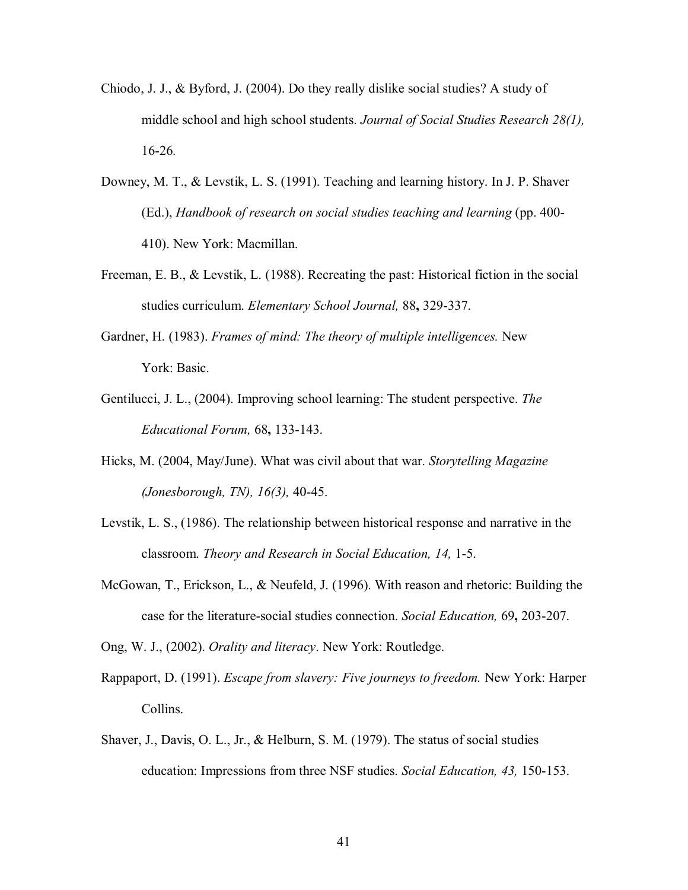- Chiodo, J. J., & Byford, J. (2004). Do they really dislike social studies? A study of middle school and high school students. *Journal of Social Studies Research 28(1),*  16-26*.*
- Downey, M. T., & Levstik, L. S. (1991). Teaching and learning history. In J. P. Shaver (Ed.), *Handbook of research on social studies teaching and learning* (pp. 400- 410). New York: Macmillan.
- Freeman, E. B., & Levstik, L. (1988). Recreating the past: Historical fiction in the social studies curriculum. *Elementary School Journal,* 88**,** 329-337.
- Gardner, H. (1983). *Frames of mind: The theory of multiple intelligences.* New York: Basic.
- Gentilucci, J. L., (2004). Improving school learning: The student perspective. *The Educational Forum,* 68**,** 133-143.
- Hicks, M. (2004, May/June). What was civil about that war. *Storytelling Magazine (Jonesborough, TN), 16(3),* 40-45.
- Levstik, L. S., (1986). The relationship between historical response and narrative in the classroom. *Theory and Research in Social Education, 14,* 1-5.
- McGowan, T., Erickson, L., & Neufeld, J. (1996). With reason and rhetoric: Building the case for the literature-social studies connection. *Social Education,* 69**,** 203-207.

Ong, W. J., (2002). *Orality and literacy*. New York: Routledge.

- Rappaport, D. (1991). *Escape from slavery: Five journeys to freedom.* New York: Harper Collins.
- Shaver, J., Davis, O. L., Jr., & Helburn, S. M. (1979). The status of social studies education: Impressions from three NSF studies. *Social Education, 43,* 150-153.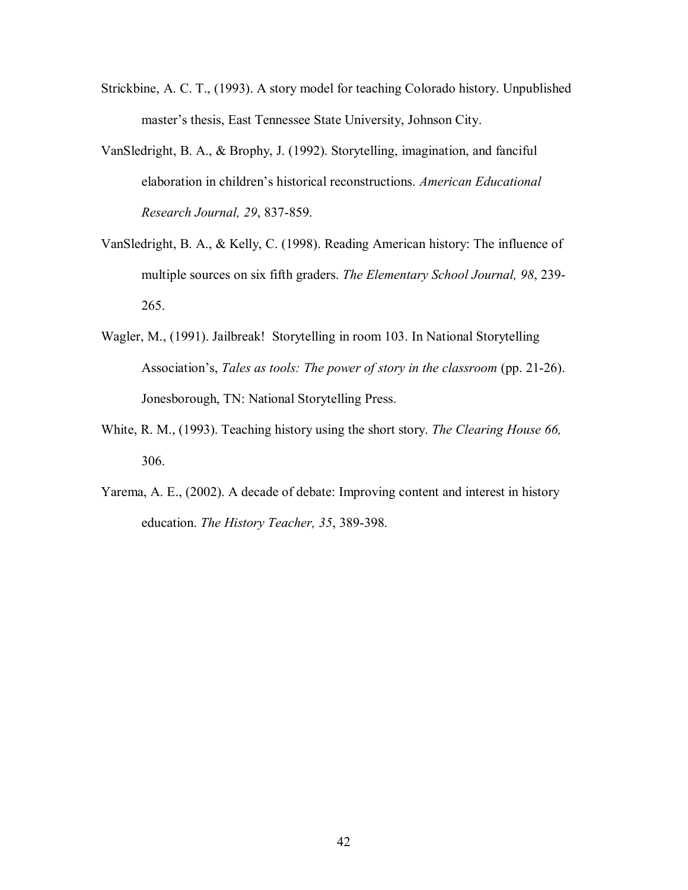- Strickbine, A. C. T., (1993). A story model for teaching Colorado history. Unpublished master's thesis, East Tennessee State University, Johnson City.
- VanSledright, B. A., & Brophy, J. (1992). Storytelling, imagination, and fanciful elaboration in children's historical reconstructions. *American Educational Research Journal, 29*, 837-859.
- VanSledright, B. A., & Kelly, C. (1998). Reading American history: The influence of multiple sources on six fifth graders. *The Elementary School Journal, 98*, 239- 265.
- Wagler, M., (1991). Jailbreak! Storytelling in room 103. In National Storytelling Association's, *Tales as tools: The power of story in the classroom* (pp. 21-26). Jonesborough, TN: National Storytelling Press.
- White, R. M., (1993). Teaching history using the short story. *The Clearing House 66,* 306.
- Yarema, A. E., (2002). A decade of debate: Improving content and interest in history education. *The History Teacher, 35*, 389-398.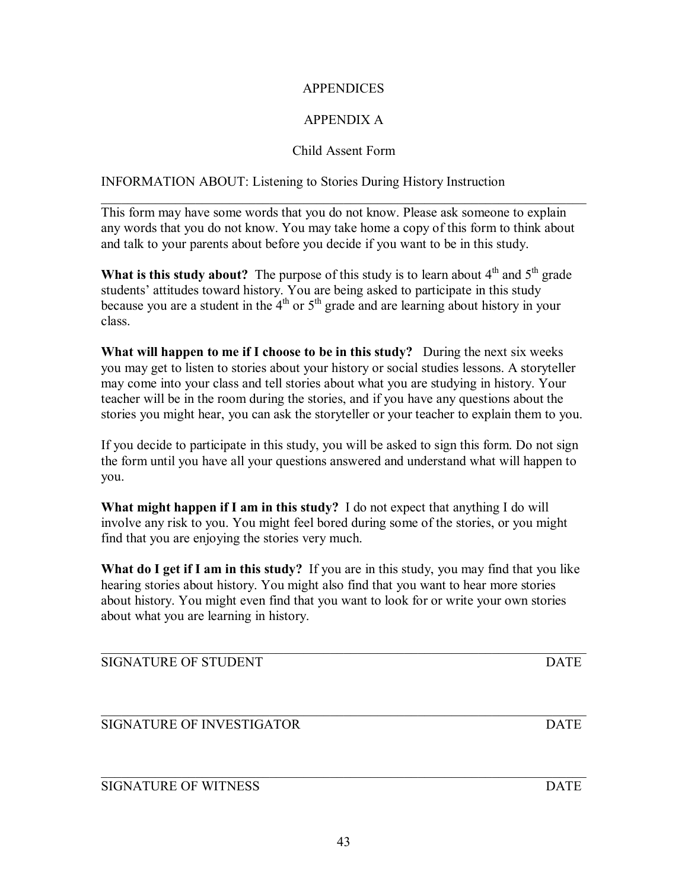$\_$  , and the contribution of the contribution of  $\mathcal{L}_\mathcal{A}$  , and the contribution of  $\mathcal{L}_\mathcal{A}$ 

# **APPENDICES**

# APPENDIX A

# Child Assent Form

 $\mathcal{L}_\text{max}$  , and the contribution of the contribution of the contribution of the contribution of the contribution of the contribution of the contribution of the contribution of the contribution of the contribution of t

INFORMATION ABOUT: Listening to Stories During History Instruction

This form may have some words that you do not know. Please ask someone to explain any words that you do not know. You may take home a copy of this form to think about and talk to your parents about before you decide if you want to be in this study.

**What is this study about?** The purpose of this study is to learn about  $4<sup>th</sup>$  and  $5<sup>th</sup>$  grade students' attitudes toward history. You are being asked to participate in this study because you are a student in the  $4<sup>th</sup>$  or  $5<sup>th</sup>$  grade and are learning about history in your class.

**What will happen to me if I choose to be in this study?** During the next six weeks you may get to listen to stories about your history or social studies lessons. A storyteller may come into your class and tell stories about what you are studying in history. Your teacher will be in the room during the stories, and if you have any questions about the stories you might hear, you can ask the storyteller or your teacher to explain them to you.

If you decide to participate in this study, you will be asked to sign this form. Do not sign the form until you have all your questions answered and understand what will happen to you.

**What might happen if I am in this study?** I do not expect that anything I do will involve any risk to you. You might feel bored during some of the stories, or you might find that you are enjoying the stories very much.

**What do I get if I am in this study?** If you are in this study, you may find that you like hearing stories about history. You might also find that you want to hear more stories about history. You might even find that you want to look for or write your own stories about what you are learning in history.

 $\mathcal{L}_\text{max} = \mathcal{L}_\text{max} = \mathcal{L}_\text{max} = \mathcal{L}_\text{max} = \mathcal{L}_\text{max} = \mathcal{L}_\text{max} = \mathcal{L}_\text{max} = \mathcal{L}_\text{max} = \mathcal{L}_\text{max} = \mathcal{L}_\text{max} = \mathcal{L}_\text{max} = \mathcal{L}_\text{max} = \mathcal{L}_\text{max} = \mathcal{L}_\text{max} = \mathcal{L}_\text{max} = \mathcal{L}_\text{max} = \mathcal{L}_\text{max} = \mathcal{L}_\text{max} = \mathcal{$ 

SIGNATURE OF STUDENT DATE

SIGNATURE OF INVESTIGATOR **EXECUTE IS SET ASSESSED.** DATE

SIGNATURE OF WITNESS DATE

 $\_$  , and the contribution of the contribution of  $\mathcal{L}_\mathcal{A}$  , and the contribution of  $\mathcal{L}_\mathcal{A}$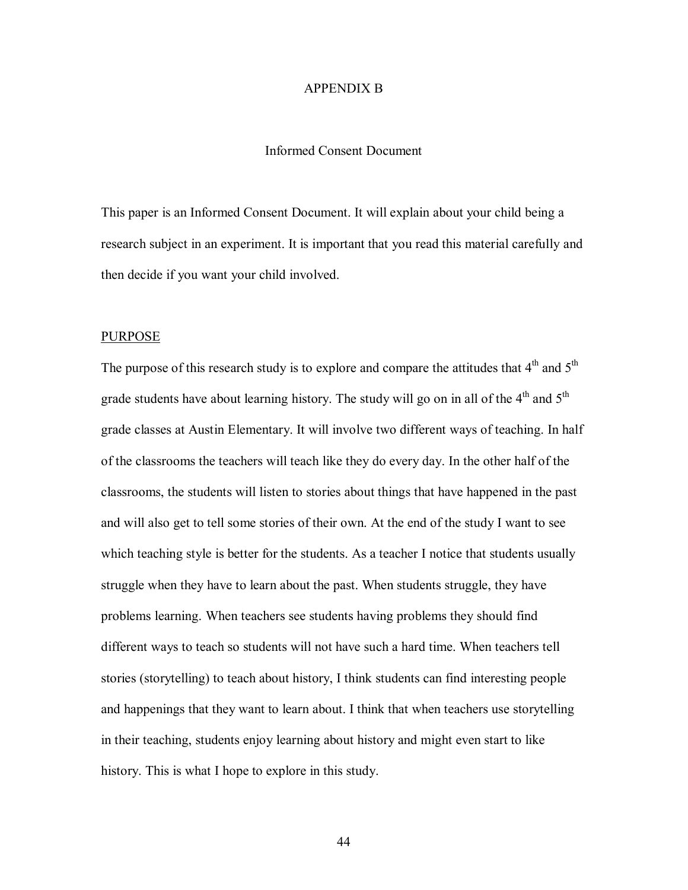# APPENDIX B

# Informed Consent Document

This paper is an Informed Consent Document. It will explain about your child being a research subject in an experiment. It is important that you read this material carefully and then decide if you want your child involved.

#### PURPOSE

The purpose of this research study is to explore and compare the attitudes that  $4<sup>th</sup>$  and  $5<sup>th</sup>$ grade students have about learning history. The study will go on in all of the  $4<sup>th</sup>$  and  $5<sup>th</sup>$ grade classes at Austin Elementary. It will involve two different ways of teaching. In half of the classrooms the teachers will teach like they do every day. In the other half of the classrooms, the students will listen to stories about things that have happened in the past and will also get to tell some stories of their own. At the end of the study I want to see which teaching style is better for the students. As a teacher I notice that students usually struggle when they have to learn about the past. When students struggle, they have problems learning. When teachers see students having problems they should find different ways to teach so students will not have such a hard time. When teachers tell stories (storytelling) to teach about history, I think students can find interesting people and happenings that they want to learn about. I think that when teachers use storytelling in their teaching, students enjoy learning about history and might even start to like history. This is what I hope to explore in this study.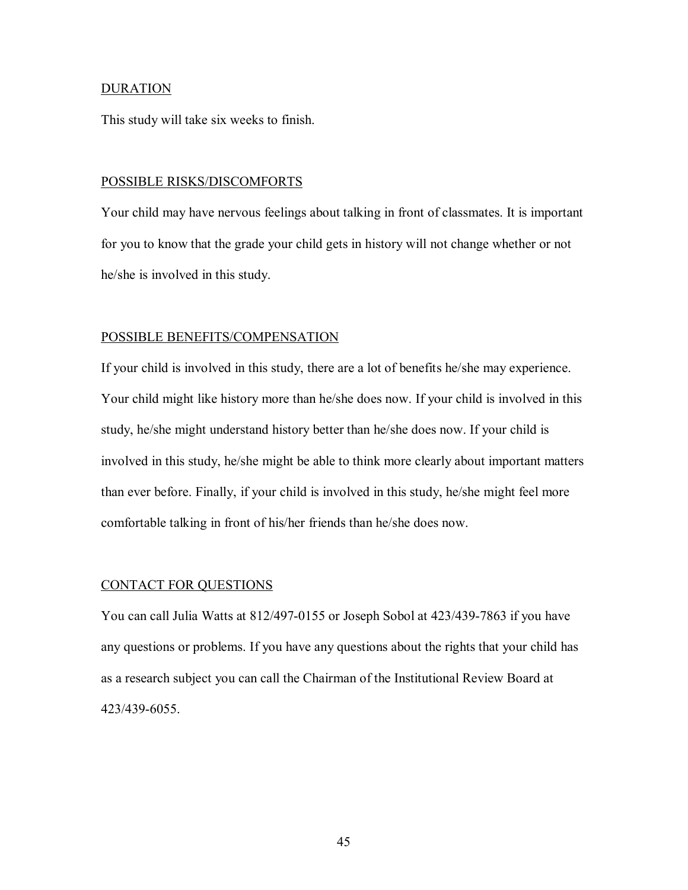## DURATION

This study will take six weeks to finish.

#### POSSIBLE RISKS/DISCOMFORTS

Your child may have nervous feelings about talking in front of classmates. It is important for you to know that the grade your child gets in history will not change whether or not he/she is involved in this study.

# POSSIBLE BENEFITS/COMPENSATION

If your child is involved in this study, there are a lot of benefits he/she may experience. Your child might like history more than he/she does now. If your child is involved in this study, he/she might understand history better than he/she does now. If your child is involved in this study, he/she might be able to think more clearly about important matters than ever before. Finally, if your child is involved in this study, he/she might feel more comfortable talking in front of his/her friends than he/she does now.

## CONTACT FOR QUESTIONS

You can call Julia Watts at 812/497-0155 or Joseph Sobol at 423/439-7863 if you have any questions or problems. If you have any questions about the rights that your child has as a research subject you can call the Chairman of the Institutional Review Board at 423/439-6055.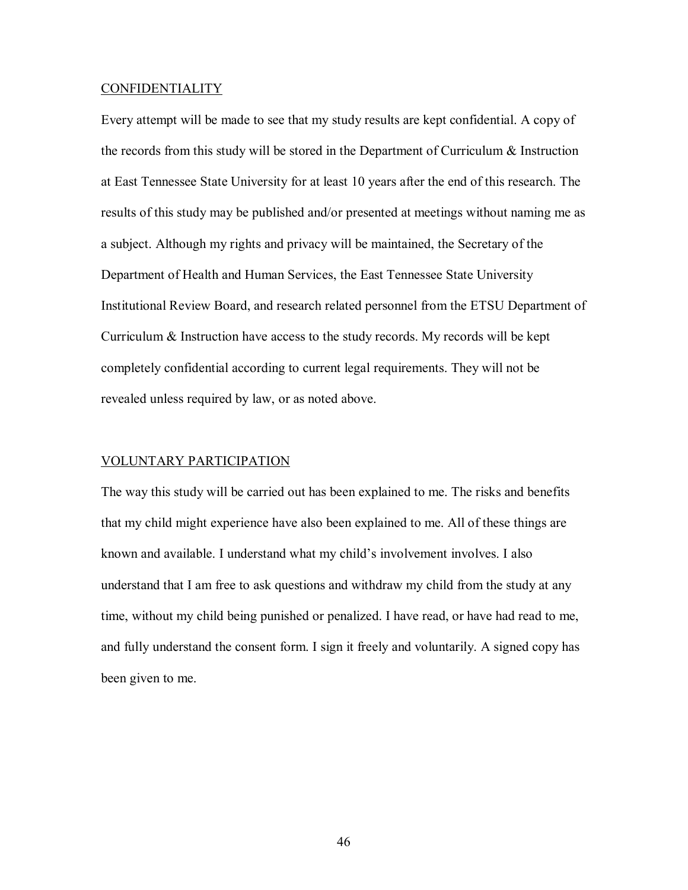#### CONFIDENTIALITY

Every attempt will be made to see that my study results are kept confidential. A copy of the records from this study will be stored in the Department of Curriculum & Instruction at East Tennessee State University for at least 10 years after the end of this research. The results of this study may be published and/or presented at meetings without naming me as a subject. Although my rights and privacy will be maintained, the Secretary of the Department of Health and Human Services, the East Tennessee State University Institutional Review Board, and research related personnel from the ETSU Department of Curriculum & Instruction have access to the study records. My records will be kept completely confidential according to current legal requirements. They will not be revealed unless required by law, or as noted above.

#### VOLUNTARY PARTICIPATION

The way this study will be carried out has been explained to me. The risks and benefits that my child might experience have also been explained to me. All of these things are known and available. I understand what my child's involvement involves. I also understand that I am free to ask questions and withdraw my child from the study at any time, without my child being punished or penalized. I have read, or have had read to me, and fully understand the consent form. I sign it freely and voluntarily. A signed copy has been given to me.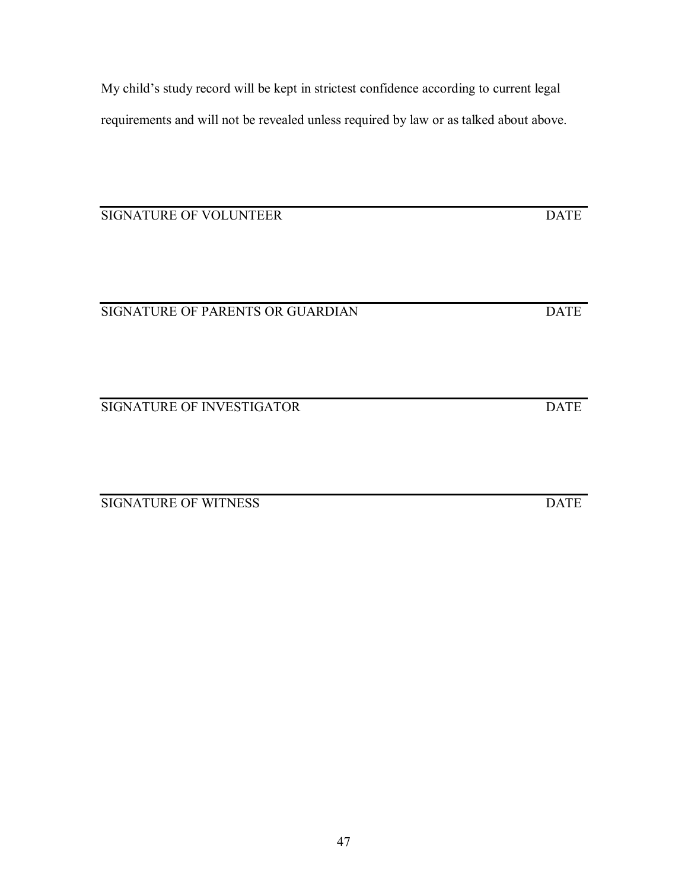47

My child's study record will be kept in strictest confidence according to current legal requirements and will not be revealed unless required by law or as talked about above.

SIGNATURE OF VOLUNTEER DATE

SIGNATURE OF PARENTS OR GUARDIAN DATE

SIGNATURE OF INVESTIGATOR DATE

SIGNATURE OF WITNESS DATE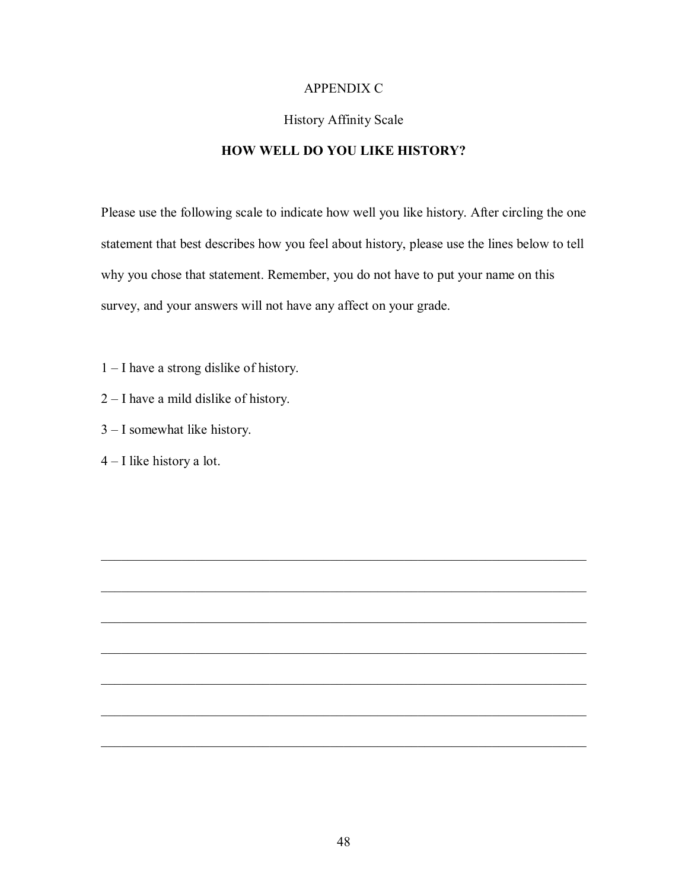# APPENDIX C

# History Affinity Scale

# **HOW WELL DO YOU LIKE HISTORY?**

Please use the following scale to indicate how well you like history. After circling the one statement that best describes how you feel about history, please use the lines below to tell why you chose that statement. Remember, you do not have to put your name on this survey, and your answers will not have any affect on your grade.

- $1 I$  have a strong dislike of history.
- $2 I$  have a mild dislike of history.
- $3 I$  somewhat like history.
- $4 I$  like history a lot.

 $\mathcal{L}_\text{max}$  , and the contribution of the contribution of the contribution of the contribution of the contribution of the contribution of the contribution of the contribution of the contribution of the contribution of t

 $\mathcal{L}_\text{max}$  , and the contribution of the contribution of the contribution of the contribution of the contribution of the contribution of the contribution of the contribution of the contribution of the contribution of t

 $\mathcal{L}_\text{max}$  , and the contribution of the contribution of the contribution of the contribution of the contribution of the contribution of the contribution of the contribution of the contribution of the contribution of t

 $\mathcal{L}_\text{max} = \mathcal{L}_\text{max} = \mathcal{L}_\text{max} = \mathcal{L}_\text{max} = \mathcal{L}_\text{max} = \mathcal{L}_\text{max} = \mathcal{L}_\text{max} = \mathcal{L}_\text{max} = \mathcal{L}_\text{max} = \mathcal{L}_\text{max} = \mathcal{L}_\text{max} = \mathcal{L}_\text{max} = \mathcal{L}_\text{max} = \mathcal{L}_\text{max} = \mathcal{L}_\text{max} = \mathcal{L}_\text{max} = \mathcal{L}_\text{max} = \mathcal{L}_\text{max} = \mathcal{$ 

 $\mathcal{L}_\text{max}$  , and the contribution of the contribution of the contribution of the contribution of the contribution of the contribution of the contribution of the contribution of the contribution of the contribution of t

 $\mathcal{L}_\text{max}$  , and the contribution of the contribution of the contribution of the contribution of the contribution of the contribution of the contribution of the contribution of the contribution of the contribution of t

 $\mathcal{L}_\text{max}$  , and the contribution of the contribution of the contribution of the contribution of the contribution of the contribution of the contribution of the contribution of the contribution of the contribution of t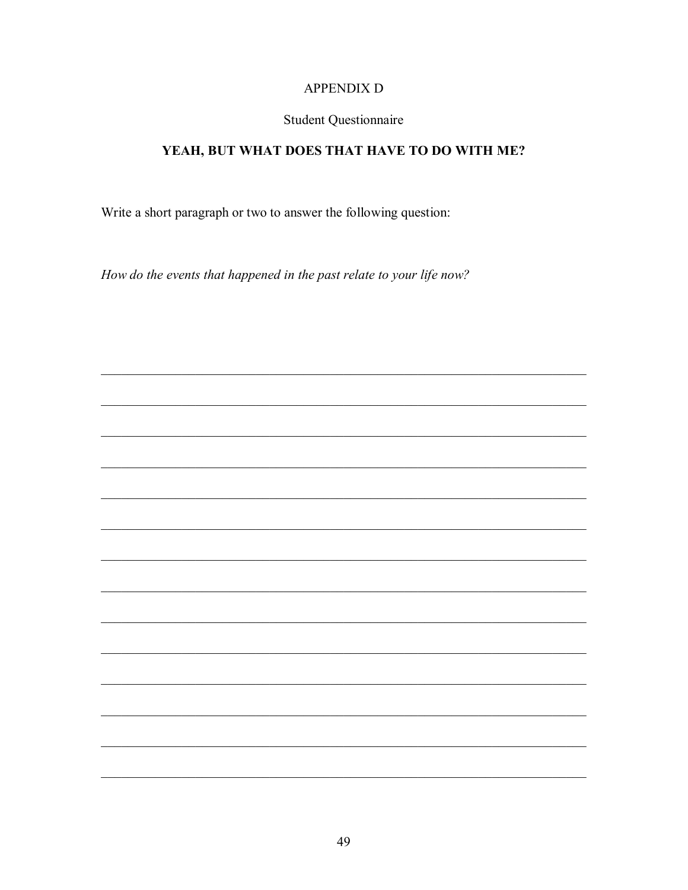# **APPENDIX D**

# **Student Questionnaire**

# YEAH, BUT WHAT DOES THAT HAVE TO DO WITH ME?

Write a short paragraph or two to answer the following question:

How do the events that happened in the past relate to your life now?

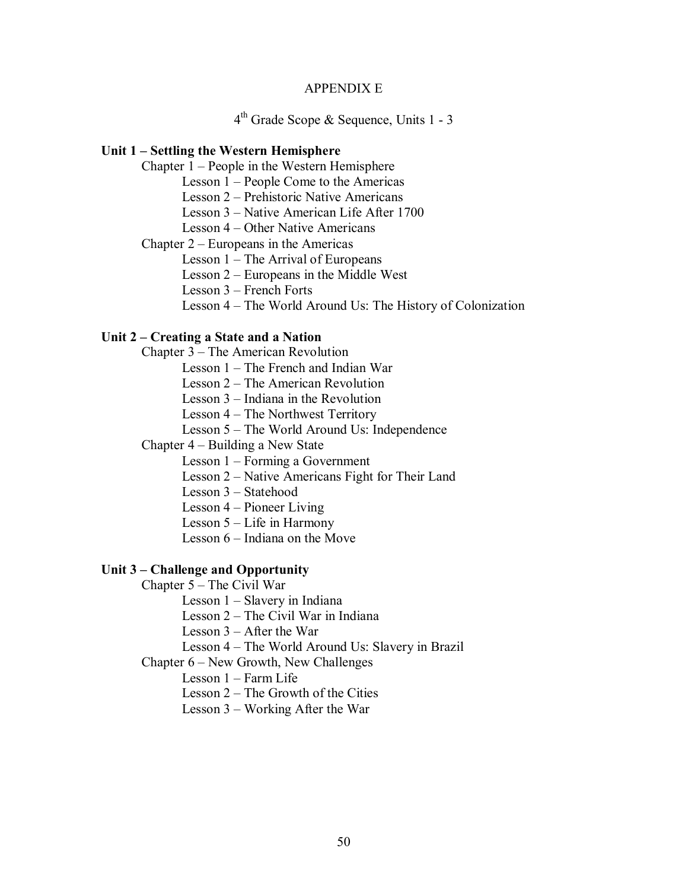# APPENDIX E

4th Grade Scope & Sequence, Units 1 - 3

#### Unit 1 – Settling the Western Hemisphere

Chapter  $1 -$  People in the Western Hemisphere

Lesson  $1$  – People Come to the Americas

Lesson 2 – Prehistoric Native Americans

Lesson 3 – Native American Life After 1700

Lesson 4 – Other Native Americans

Chapter  $2$  – Europeans in the Americas

Lesson  $1$  – The Arrival of Europeans

Lesson  $2$  – Europeans in the Middle West

Lesson  $3$  – French Forts

Lesson 4 – The World Around Us: The History of Colonization

# Unit 2 – Creating a State and a Nation

Chapter  $3$  – The American Revolution

Lesson  $1$  – The French and Indian War

Lesson  $2$  – The American Revolution

Lesson  $3$  – Indiana in the Revolution

Lesson  $4$  – The Northwest Territory

Lesson 5 – The World Around Us: Independence

Chapter  $4 -$  Building a New State

Lesson  $1$  – Forming a Government

Lesson 2 – Native Americans Fight for Their Land

Lesson 3 – Statehood

Lesson  $4$  – Pioneer Living

Lesson  $5$  – Life in Harmony

Lesson  $6$  – Indiana on the Move

# Unit 3 – Challenge and Opportunity

Chapter  $5 -$ The Civil War

Lesson  $1 -$  Slavery in Indiana

Lesson  $2$  – The Civil War in Indiana

Lesson  $3 -$  After the War

Lesson 4 – The World Around Us: Slavery in Brazil

Chapter  $6$  – New Growth, New Challenges

Lesson  $1 -$ Farm Life

Lesson  $2$  – The Growth of the Cities

Lesson  $3$  – Working After the War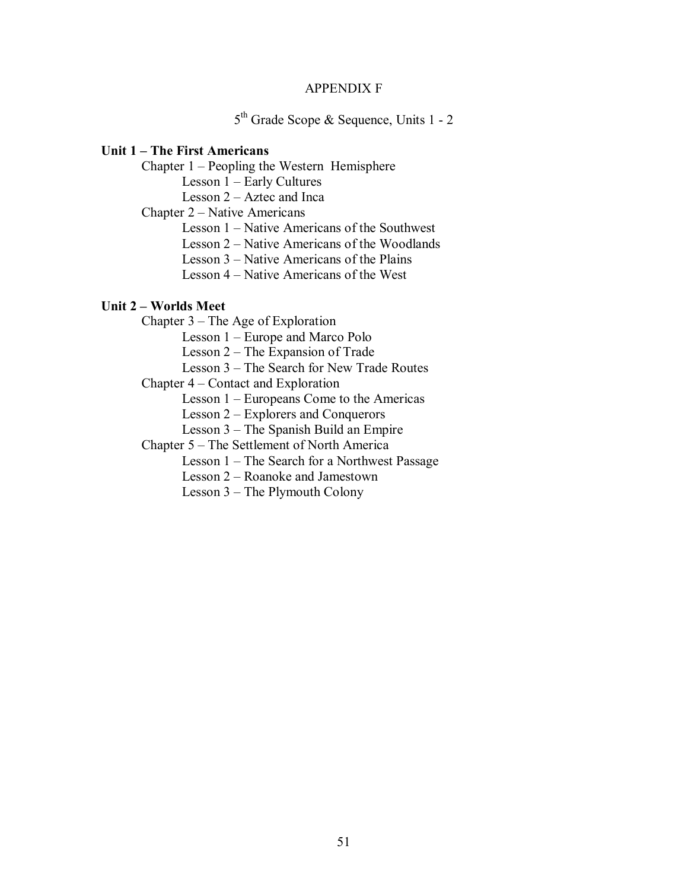# APPENDIX F

5<sup>th</sup> Grade Scope & Sequence, Units 1 - 2

# **Unit 1 – The First Americans**

Chapter  $1$  – Peopling the Western Hemisphere

Lesson  $1 -$  Early Cultures

Lesson  $2 -$  Aztec and Inca

Chapter  $2 -$  Native Americans

Lesson  $1 -$  Native Americans of the Southwest

Lesson  $2 -$  Native Americans of the Woodlands

Lesson  $3$  – Native Americans of the Plains

Lesson  $4$  – Native Americans of the West

## **Unit 2 – Worlds Meet**

Chapter  $3$  – The Age of Exploration Lesson 1 – Europe and Marco Polo

Lesson  $2$  – The Expansion of Trade

Lesson 3 – The Search for New Trade Routes

Chapter  $4$  – Contact and Exploration

Lesson  $1$  – Europeans Come to the Americas

Lesson  $2$  – Explorers and Conquerors

Lesson  $3$  – The Spanish Build an Empire

Chapter 5 – The Settlement of North America

Lesson  $1$  – The Search for a Northwest Passage

Lesson 2 – Roanoke and Jamestown

Lesson  $3$  – The Plymouth Colony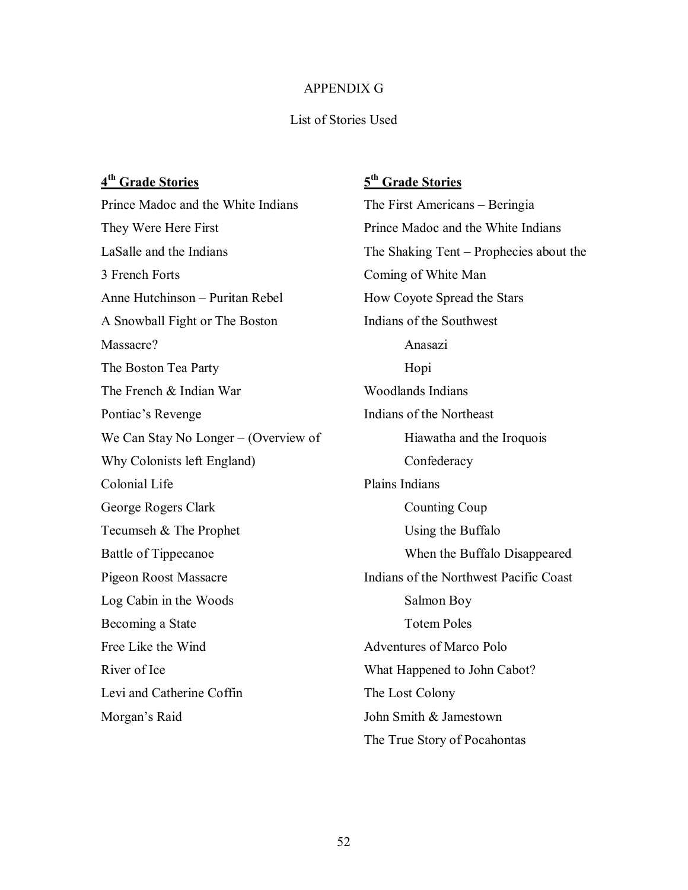# APPENDIX G

# List of Stories Used

# **4th Grade Stories**

Prince Madoc and the White Indians They Were Here First LaSalle and the Indians 3 French Forts Anne Hutchinson – Puritan Rebel A Snowball Fight or The Boston Massacre? The Boston Tea Party The French & Indian War Pontiac's Revenge We Can Stay No Longer  $-$  (Overview of Why Colonists left England) Colonial Life George Rogers Clark Tecumseh & The Prophet Battle of Tippecanoe Pigeon Roost Massacre Log Cabin in the Woods Becoming a State Free Like the Wind River of Ice Levi and Catherine Coffin Morgan's Raid

# **5th Grade Stories**

The First Americans – Beringia Prince Madoc and the White Indians The Shaking Tent  $-$  Prophecies about the Coming of White Man How Coyote Spread the Stars Indians of the Southwest Anasazi Hopi Woodlands Indians Indians of the Northeast Hiawatha and the Iroquois Confederacy Plains Indians Counting Coup Using the Buffalo When the Buffalo Disappeared Indians of the Northwest Pacific Coast Salmon Boy Totem Poles Adventures of Marco Polo What Happened to John Cabot? The Lost Colony John Smith & Jamestown The True Story of Pocahontas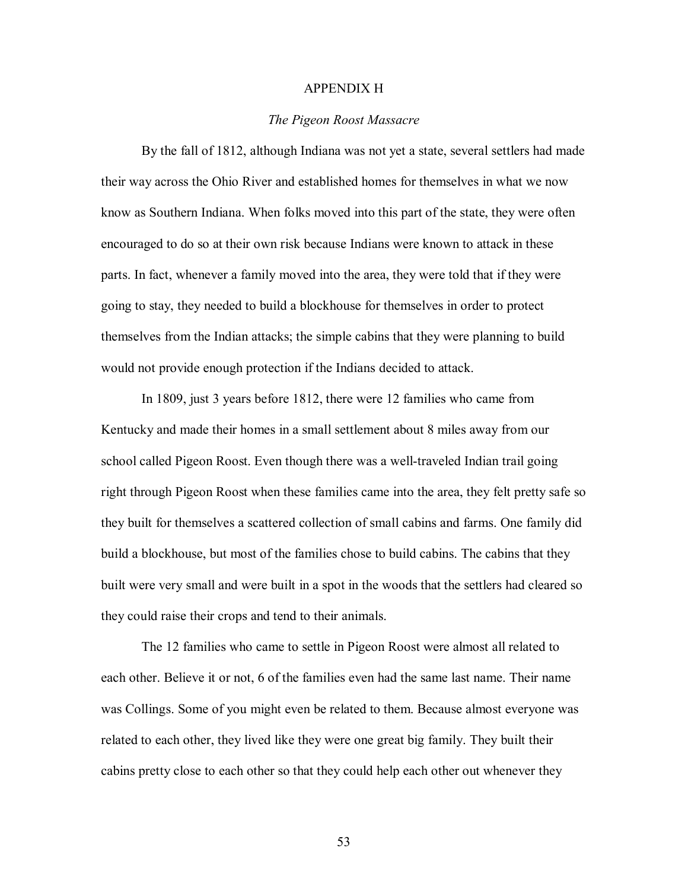# APPENDIX H

## *The Pigeon Roost Massacre*

By the fall of 1812, although Indiana was not yet a state, several settlers had made their way across the Ohio River and established homes for themselves in what we now know as Southern Indiana. When folks moved into this part of the state, they were often encouraged to do so at their own risk because Indians were known to attack in these parts. In fact, whenever a family moved into the area, they were told that if they were going to stay, they needed to build a blockhouse for themselves in order to protect themselves from the Indian attacks; the simple cabins that they were planning to build would not provide enough protection if the Indians decided to attack.

In 1809, just 3 years before 1812, there were 12 families who came from Kentucky and made their homes in a small settlement about 8 miles away from our school called Pigeon Roost. Even though there was a well-traveled Indian trail going right through Pigeon Roost when these families came into the area, they felt pretty safe so they built for themselves a scattered collection of small cabins and farms. One family did build a blockhouse, but most of the families chose to build cabins. The cabins that they built were very small and were built in a spot in the woods that the settlers had cleared so they could raise their crops and tend to their animals.

The 12 families who came to settle in Pigeon Roost were almost all related to each other. Believe it or not, 6 of the families even had the same last name. Their name was Collings. Some of you might even be related to them. Because almost everyone was related to each other, they lived like they were one great big family. They built their cabins pretty close to each other so that they could help each other out whenever they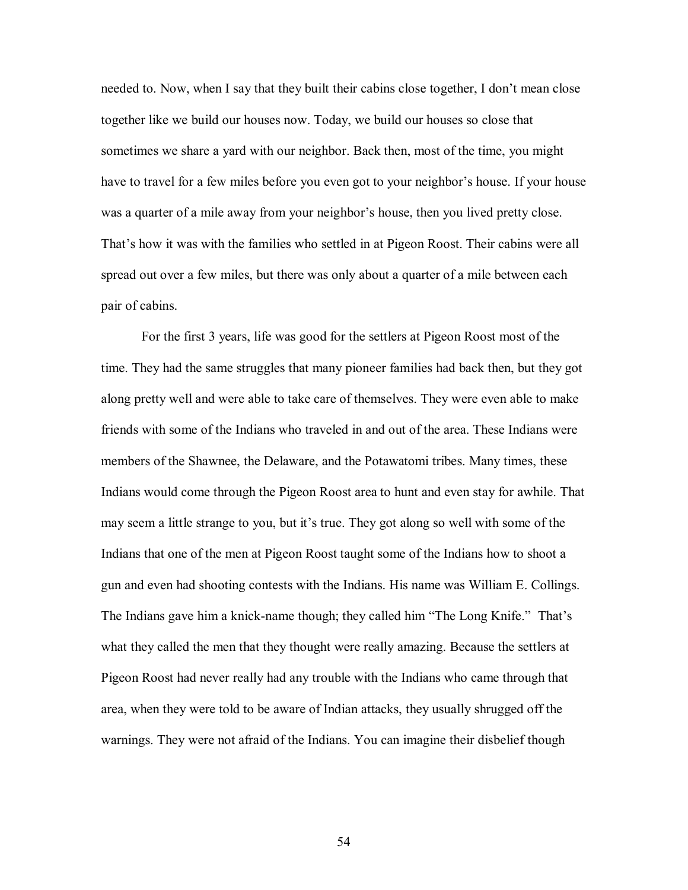needed to. Now, when I say that they built their cabins close together, I don't mean close together like we build our houses now. Today, we build our houses so close that sometimes we share a yard with our neighbor. Back then, most of the time, you might have to travel for a few miles before you even got to your neighbor's house. If your house was a quarter of a mile away from your neighbor's house, then you lived pretty close. That's how it was with the families who settled in at Pigeon Roost. Their cabins were all spread out over a few miles, but there was only about a quarter of a mile between each pair of cabins.

For the first 3 years, life was good for the settlers at Pigeon Roost most of the time. They had the same struggles that many pioneer families had back then, but they got along pretty well and were able to take care of themselves. They were even able to make friends with some of the Indians who traveled in and out of the area. These Indians were members of the Shawnee, the Delaware, and the Potawatomi tribes. Many times, these Indians would come through the Pigeon Roost area to hunt and even stay for awhile. That may seem a little strange to you, but it's true. They got along so well with some of the Indians that one of the men at Pigeon Roost taught some of the Indians how to shoot a gun and even had shooting contests with the Indians. His name was William E. Collings. The Indians gave him a knick-name though; they called him "The Long Knife." That's what they called the men that they thought were really amazing. Because the settlers at Pigeon Roost had never really had any trouble with the Indians who came through that area, when they were told to be aware of Indian attacks, they usually shrugged off the warnings. They were not afraid of the Indians. You can imagine their disbelief though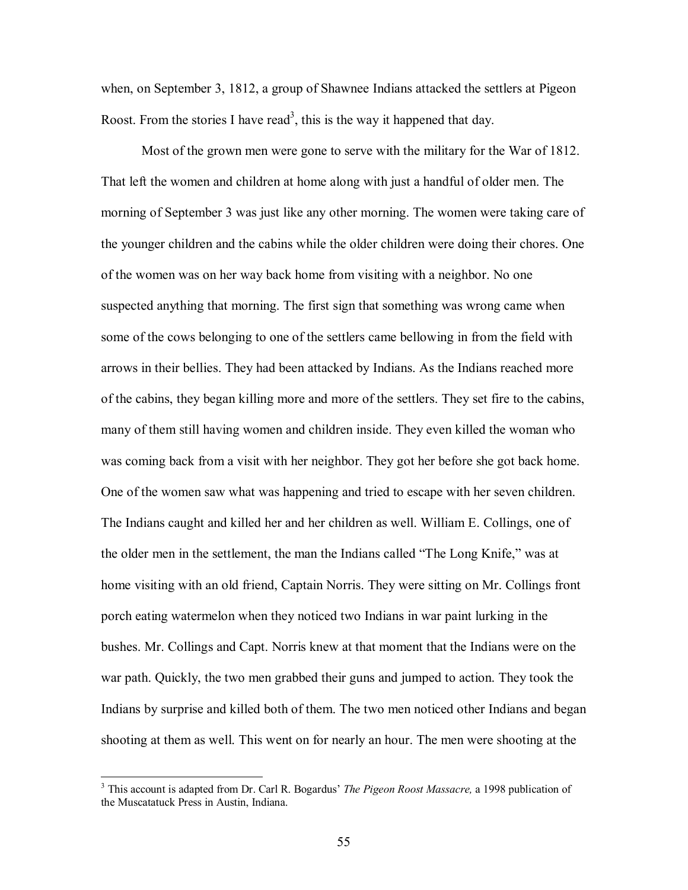when, on September 3, 1812, a group of Shawnee Indians attacked the settlers at Pigeon Roost. From the stories I have read<sup>3</sup>, this is the way it happened that day.

Most of the grown men were gone to serve with the military for the War of 1812. That left the women and children at home along with just a handful of older men. The morning of September 3 was just like any other morning. The women were taking care of the younger children and the cabins while the older children were doing their chores. One of the women was on her way back home from visiting with a neighbor. No one suspected anything that morning. The first sign that something was wrong came when some of the cows belonging to one of the settlers came bellowing in from the field with arrows in their bellies. They had been attacked by Indians. As the Indians reached more of the cabins, they began killing more and more of the settlers. They set fire to the cabins, many of them still having women and children inside. They even killed the woman who was coming back from a visit with her neighbor. They got her before she got back home. One of the women saw what was happening and tried to escape with her seven children. The Indians caught and killed her and her children as well. William E. Collings, one of the older men in the settlement, the man the Indians called "The Long Knife," was at home visiting with an old friend, Captain Norris. They were sitting on Mr. Collings front porch eating watermelon when they noticed two Indians in war paint lurking in the bushes. Mr. Collings and Capt. Norris knew at that moment that the Indians were on the war path. Quickly, the two men grabbed their guns and jumped to action. They took the Indians by surprise and killed both of them. The two men noticed other Indians and began shooting at them as well. This went on for nearly an hour. The men were shooting at the

<u>.</u>

<sup>&</sup>lt;sup>3</sup> This account is adapted from Dr. Carl R. Bogardus' *The Pigeon Roost Massacre*, a 1998 publication of the Muscatatuck Press in Austin, Indiana.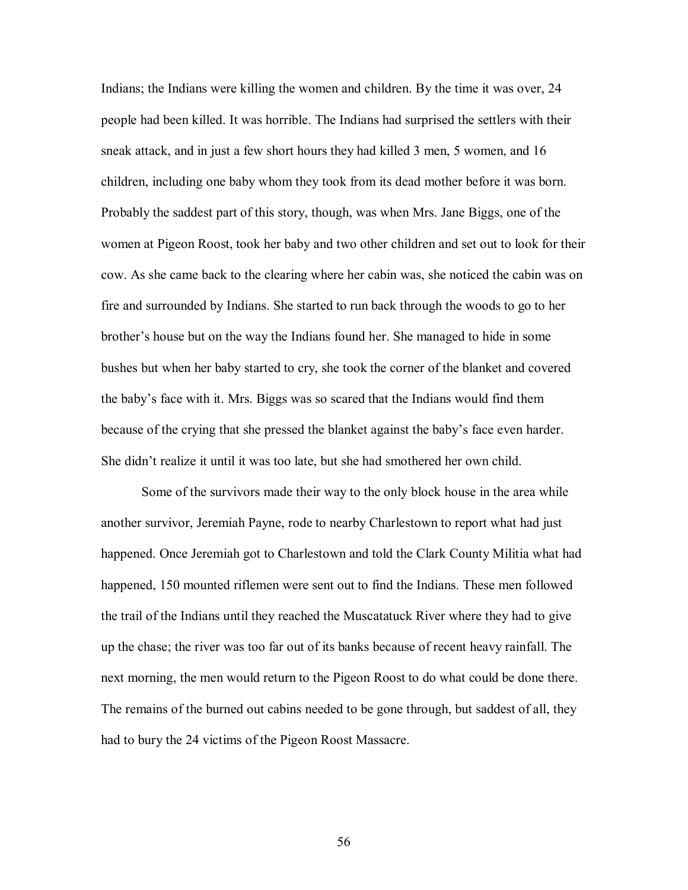Indians; the Indians were killing the women and children. By the time it was over, 24 people had been killed. It was horrible. The Indians had surprised the settlers with their sneak attack, and in just a few short hours they had killed 3 men, 5 women, and 16 children, including one baby whom they took from its dead mother before it was born. Probably the saddest part of this story, though, was when Mrs. Jane Biggs, one of the women at Pigeon Roost, took her baby and two other children and set out to look for their cow. As she came back to the clearing where her cabin was, she noticed the cabin was on fire and surrounded by Indians. She started to run back through the woods to go to her brother's house but on the way the Indians found her. She managed to hide in some bushes but when her baby started to cry, she took the corner of the blanket and covered the baby's face with it. Mrs. Biggs was so scared that the Indians would find them because of the crying that she pressed the blanket against the baby's face even harder. She didn't realize it until it was too late, but she had smothered her own child.

Some of the survivors made their way to the only block house in the area while another survivor, Jeremiah Payne, rode to nearby Charlestown to report what had just happened. Once Jeremiah got to Charlestown and told the Clark County Militia what had happened, 150 mounted riflemen were sent out to find the Indians. These men followed the trail of the Indians until they reached the Muscatatuck River where they had to give up the chase; the river was too far out of its banks because of recent heavy rainfall. The next morning, the men would return to the Pigeon Roost to do what could be done there. The remains of the burned out cabins needed to be gone through, but saddest of all, they had to bury the 24 victims of the Pigeon Roost Massacre.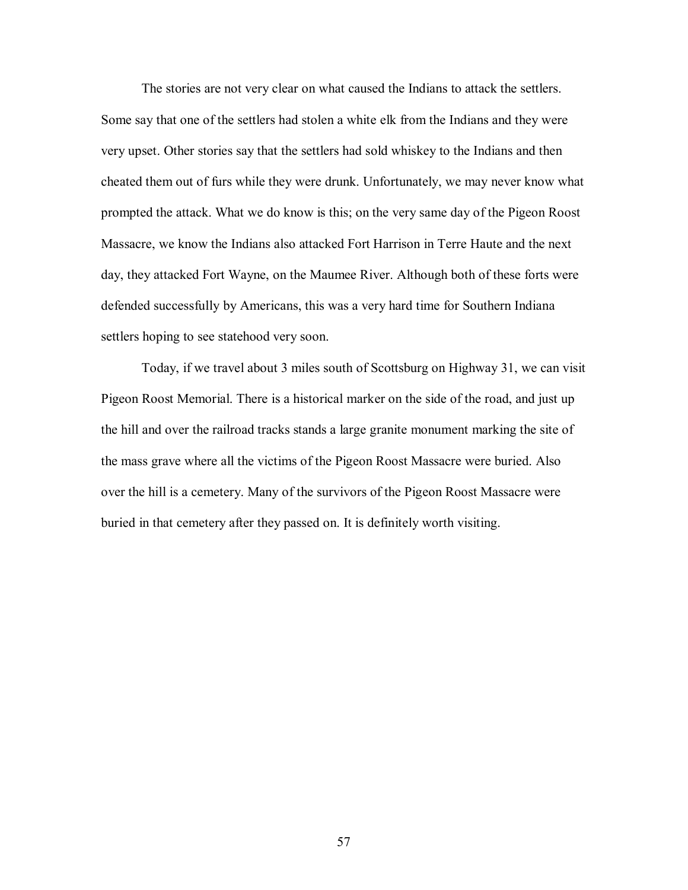The stories are not very clear on what caused the Indians to attack the settlers. Some say that one of the settlers had stolen a white elk from the Indians and they were very upset. Other stories say that the settlers had sold whiskey to the Indians and then cheated them out of furs while they were drunk. Unfortunately, we may never know what prompted the attack. What we do know is this; on the very same day of the Pigeon Roost Massacre, we know the Indians also attacked Fort Harrison in Terre Haute and the next day, they attacked Fort Wayne, on the Maumee River. Although both of these forts were defended successfully by Americans, this was a very hard time for Southern Indiana settlers hoping to see statehood very soon.

Today, if we travel about 3 miles south of Scottsburg on Highway 31, we can visit Pigeon Roost Memorial. There is a historical marker on the side of the road, and just up the hill and over the railroad tracks stands a large granite monument marking the site of the mass grave where all the victims of the Pigeon Roost Massacre were buried. Also over the hill is a cemetery. Many of the survivors of the Pigeon Roost Massacre were buried in that cemetery after they passed on. It is definitely worth visiting.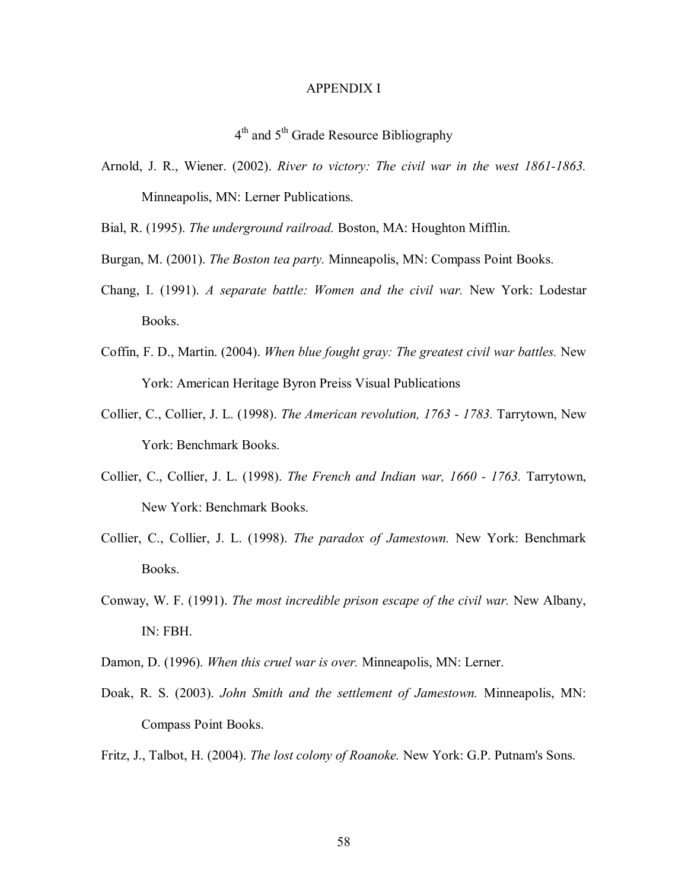#### APPENDIX I

4<sup>th</sup> and 5<sup>th</sup> Grade Resource Bibliography

- Arnold, J. R., Wiener. (2002). *River to victory: The civil war in the west 1861-1863.* Minneapolis, MN: Lerner Publications.
- Bial, R. (1995). *The underground railroad.* Boston, MA: Houghton Mifflin.
- Burgan, M. (2001). *The Boston tea party.* Minneapolis, MN: Compass Point Books.
- Chang, I. (1991). *A separate battle: Women and the civil war.* New York: Lodestar Books.
- Coffin, F. D., Martin. (2004). *When blue fought gray: The greatest civil war battles.* New York: American Heritage Byron Preiss Visual Publications
- Collier, C., Collier, J. L. (1998). *The American revolution, 1763 1783.* Tarrytown, New York: Benchmark Books.
- Collier, C., Collier, J. L. (1998). *The French and Indian war, 1660 1763.* Tarrytown, New York: Benchmark Books.
- Collier, C., Collier, J. L. (1998). *The paradox of Jamestown.* New York: Benchmark Books.
- Conway, W. F. (1991). *The most incredible prison escape of the civil war.* New Albany, IN: FBH.
- Damon, D. (1996). *When this cruel war is over.* Minneapolis, MN: Lerner.
- Doak, R. S. (2003). *John Smith and the settlement of Jamestown.* Minneapolis, MN: Compass Point Books.
- Fritz, J., Talbot, H. (2004). *The lost colony of Roanoke.* New York: G.P. Putnam's Sons.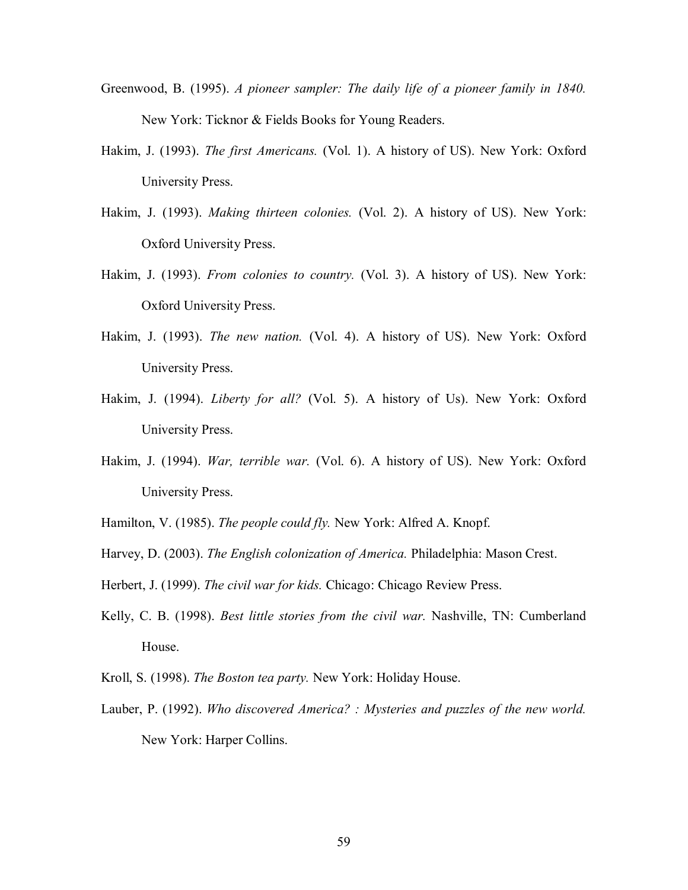- Greenwood, B. (1995). *A pioneer sampler: The daily life of a pioneer family in 1840.* New York: Ticknor & Fields Books for Young Readers.
- Hakim, J. (1993). *The first Americans.* (Vol. 1). A history of US). New York: Oxford University Press.
- Hakim, J. (1993). *Making thirteen colonies.* (Vol. 2). A history of US). New York: Oxford University Press.
- Hakim, J. (1993). *From colonies to country.* (Vol. 3). A history of US). New York: Oxford University Press.
- Hakim, J. (1993). *The new nation.* (Vol. 4). A history of US). New York: Oxford University Press.
- Hakim, J. (1994). *Liberty for all?* (Vol. 5). A history of Us). New York: Oxford University Press.
- Hakim, J. (1994). *War, terrible war.* (Vol. 6). A history of US). New York: Oxford University Press.
- Hamilton, V. (1985). *The people could fly.* New York: Alfred A. Knopf.
- Harvey, D. (2003). *The English colonization of America.* Philadelphia: Mason Crest.
- Herbert, J. (1999). *The civil war for kids.* Chicago: Chicago Review Press.
- Kelly, C. B. (1998). *Best little stories from the civil war.* Nashville, TN: Cumberland House.
- Kroll, S. (1998). *The Boston tea party.* New York: Holiday House.
- Lauber, P. (1992). *Who discovered America? : Mysteries and puzzles of the new world.* New York: Harper Collins.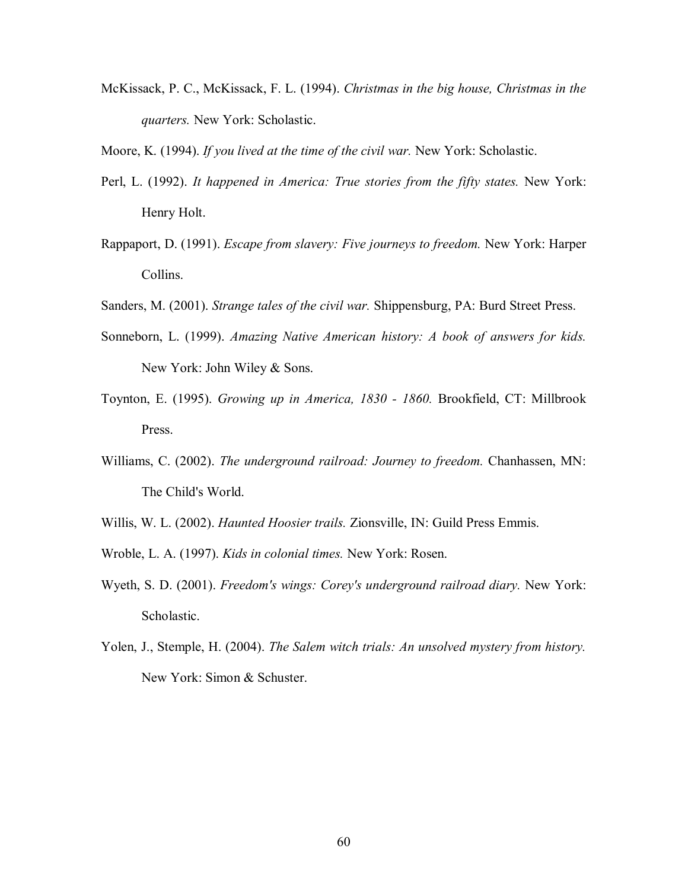- McKissack, P. C., McKissack, F. L. (1994). *Christmas in the big house, Christmas in the quarters.* New York: Scholastic.
- Moore, K. (1994). *If you lived at the time of the civil war.* New York: Scholastic.
- Perl, L. (1992). *It happened in America: True stories from the fifty states.* New York: Henry Holt.
- Rappaport, D. (1991). *Escape from slavery: Five journeys to freedom.* New York: Harper Collins.
- Sanders, M. (2001). *Strange tales of the civil war.* Shippensburg, PA: Burd Street Press.
- Sonneborn, L. (1999). *Amazing Native American history: A book of answers for kids.* New York: John Wiley & Sons.
- Toynton, E. (1995). *Growing up in America, 1830 1860.* Brookfield, CT: Millbrook Press.
- Williams, C. (2002). *The underground railroad: Journey to freedom.* Chanhassen, MN: The Child's World.
- Willis, W. L. (2002). *Haunted Hoosier trails.* Zionsville, IN: Guild Press Emmis.
- Wroble, L. A. (1997). *Kids in colonial times.* New York: Rosen.
- Wyeth, S. D. (2001). *Freedom's wings: Corey's underground railroad diary.* New York: Scholastic.
- Yolen, J., Stemple, H. (2004). *The Salem witch trials: An unsolved mystery from history.* New York: Simon & Schuster.